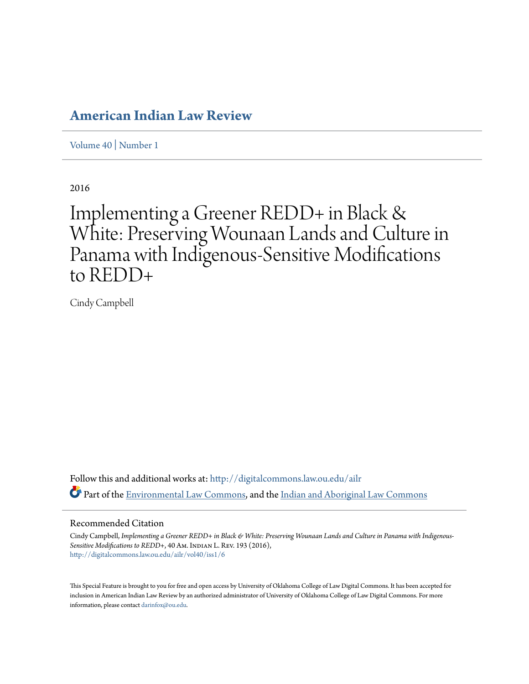# **[American Indian Law Review](http://digitalcommons.law.ou.edu/ailr?utm_source=digitalcommons.law.ou.edu%2Failr%2Fvol40%2Fiss1%2F6&utm_medium=PDF&utm_campaign=PDFCoverPages)**

[Volume 40](http://digitalcommons.law.ou.edu/ailr/vol40?utm_source=digitalcommons.law.ou.edu%2Failr%2Fvol40%2Fiss1%2F6&utm_medium=PDF&utm_campaign=PDFCoverPages) | [Number 1](http://digitalcommons.law.ou.edu/ailr/vol40/iss1?utm_source=digitalcommons.law.ou.edu%2Failr%2Fvol40%2Fiss1%2F6&utm_medium=PDF&utm_campaign=PDFCoverPages)

2016

# Implementing a Greener REDD+ in Black & White: Preserving Wounaan Lands and Culture in Panama with Indigenous-Sensitive Modifications to REDD+

Cindy Campbell

Follow this and additional works at: [http://digitalcommons.law.ou.edu/ailr](http://digitalcommons.law.ou.edu/ailr?utm_source=digitalcommons.law.ou.edu%2Failr%2Fvol40%2Fiss1%2F6&utm_medium=PDF&utm_campaign=PDFCoverPages) Part of the [Environmental Law Commons](http://network.bepress.com/hgg/discipline/599?utm_source=digitalcommons.law.ou.edu%2Failr%2Fvol40%2Fiss1%2F6&utm_medium=PDF&utm_campaign=PDFCoverPages), and the [Indian and Aboriginal Law Commons](http://network.bepress.com/hgg/discipline/894?utm_source=digitalcommons.law.ou.edu%2Failr%2Fvol40%2Fiss1%2F6&utm_medium=PDF&utm_campaign=PDFCoverPages)

### Recommended Citation

Cindy Campbell, *Implementing a Greener REDD+ in Black & White: Preserving Wounaan Lands and Culture in Panama with Indigenous-*Sensitive Modifications to REDD+, 40 Am. INDIAN L. REV. 193 (2016), [http://digitalcommons.law.ou.edu/ailr/vol40/iss1/6](http://digitalcommons.law.ou.edu/ailr/vol40/iss1/6?utm_source=digitalcommons.law.ou.edu%2Failr%2Fvol40%2Fiss1%2F6&utm_medium=PDF&utm_campaign=PDFCoverPages)

This Special Feature is brought to you for free and open access by University of Oklahoma College of Law Digital Commons. It has been accepted for inclusion in American Indian Law Review by an authorized administrator of University of Oklahoma College of Law Digital Commons. For more information, please contact [darinfox@ou.edu.](mailto:darinfox@ou.edu)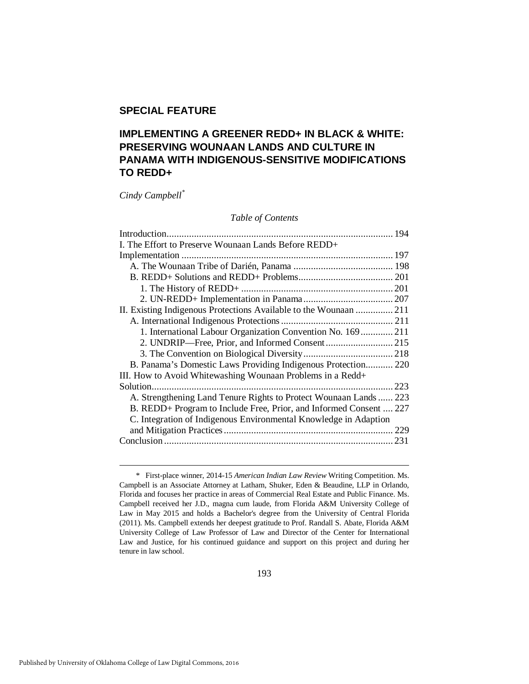# **SPECIAL FEATURE**

# **IMPLEMENTING A GREENER REDD+ IN BLACK & WHITE: PRESERVING WOUNAAN LANDS AND CULTURE IN PANAMA WITH INDIGENOUS-SENSITIVE MODIFICATIONS TO REDD+**

*Cindy Campbell[\\*](#page-1-0)*

#### *Table of Contents*

| I. The Effort to Preserve Wounaan Lands Before REDD+               |  |
|--------------------------------------------------------------------|--|
|                                                                    |  |
|                                                                    |  |
|                                                                    |  |
|                                                                    |  |
|                                                                    |  |
| II. Existing Indigenous Protections Available to the Wounaan  211  |  |
|                                                                    |  |
| 1. International Labour Organization Convention No. 169  211       |  |
| 2. UNDRIP-Free, Prior, and Informed Consent 215                    |  |
|                                                                    |  |
| B. Panama's Domestic Laws Providing Indigenous Protection 220      |  |
| III. How to Avoid Whitewashing Wounaan Problems in a Redd+         |  |
|                                                                    |  |
| A. Strengthening Land Tenure Rights to Protect Wounaan Lands  223  |  |
| B. REDD+ Program to Include Free, Prior, and Informed Consent  227 |  |
| C. Integration of Indigenous Environmental Knowledge in Adaption   |  |
|                                                                    |  |
|                                                                    |  |
|                                                                    |  |

<span id="page-1-0"></span> <sup>\*</sup> First-place winner, 2014-15 *American Indian Law Review* Writing Competition. Ms. Campbell is an Associate Attorney at Latham, Shuker, Eden & Beaudine, LLP in Orlando, Florida and focuses her practice in areas of Commercial Real Estate and Public Finance. Ms. Campbell received her J.D., magna cum laude, from Florida A&M University College of Law in May 2015 and holds a Bachelor's degree from the University of Central Florida (2011). Ms. Campbell extends her deepest gratitude to Prof. Randall S. Abate, Florida A&M University College of Law Professor of Law and Director of the Center for International Law and Justice, for his continued guidance and support on this project and during her tenure in law school.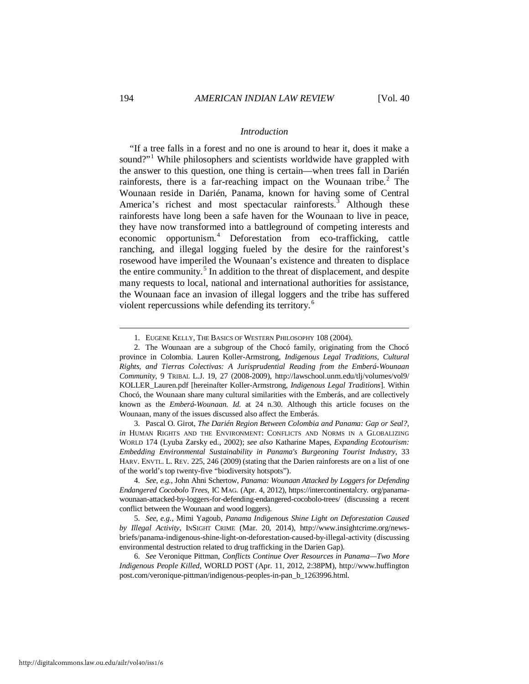#### <span id="page-2-7"></span>*Introduction*

<span id="page-2-0"></span>"If a tree falls in a forest and no one is around to hear it, does it make a sound?"<sup>[1](#page-2-1)</sup> While philosophers and scientists worldwide have grappled with the answer to this question, one thing is certain—when trees fall in Darién rainforests, there is a far-reaching impact on the Wounaan tribe. $2$  The Wounaan reside in Darién, Panama, known for having some of Central America's richest and most spectacular rainforests.<sup>[3](#page-2-3)</sup> Although these rainforests have long been a safe haven for the Wounaan to live in peace, they have now transformed into a battleground of competing interests and economic opportunism.[4](#page-2-4) Deforestation from eco-trafficking, cattle ranching, and illegal logging fueled by the desire for the rainforest's rosewood have imperiled the Wounaan's existence and threaten to displace the entire community.<sup>[5](#page-2-5)</sup> In addition to the threat of displacement, and despite many requests to local, national and international authorities for assistance, the Wounaan face an invasion of illegal loggers and the tribe has suffered violent repercussions while defending its territory.<sup>[6](#page-2-6)</sup>

<span id="page-2-3"></span> 3. Pascal O. Girot, *The Darién Region Between Colombia and Panama: Gap or Seal?*, *in* HUMAN RIGHTS AND THE ENVIRONMENT: CONFLICTS AND NORMS IN A GLOBALIZING WORLD 174 (Lyuba Zarsky ed., 2002); *see also* Katharine Mapes, *Expanding Ecotourism: Embedding Environmental Sustainability in Panama's Burgeoning Tourist Industry*, 33 HARV. ENVTL. L. REV. 225, 246 (2009) (stating that the Darien rainforests are on a list of one of the world's top twenty-five "biodiversity hotspots").

<span id="page-2-4"></span> 4. *See*, *e.g.*, John Ahni Schertow, *Panama: Wounaan Attacked by Loggers for Defending Endangered Cocobolo Trees*, IC MAG. (Apr. 4, 2012), https://intercontinentalcry. org/panamawounaan-attacked-by-loggers-for-defending-endangered-cocobolo-trees/ (discussing a recent conflict between the Wounaan and wood loggers).

<span id="page-2-5"></span> 5. *See*, *e.g.*, Mimi Yagoub, *Panama Indigenous Shine Light on Deforestation Caused by Illegal Activity*, INSIGHT CRIME (Mar. 20, 2014), http://www.insightcrime.org/newsbriefs/panama-indigenous-shine-light-on-deforestation-caused-by-illegal-activity (discussing environmental destruction related to drug trafficking in the Darien Gap).

<span id="page-2-6"></span> 6. *See* Veronique Pittman, *Conflicts Continue Over Resources in Panama—Two More Indigenous People Killed*, WORLD POST (Apr. 11, 2012, 2:38PM), http://www.huffington post.com/veronique-pittman/indigenous-peoples-in-pan\_b\_1263996.html.

<span id="page-2-8"></span> <sup>1.</sup> EUGENE KELLY, THE BASICS OF WESTERN PHILOSOPHY 108 (2004).

<span id="page-2-2"></span><span id="page-2-1"></span> <sup>2.</sup> The Wounaan are a subgroup of the Chocó family, originating from the Chocó province in Colombia. Lauren Koller-Armstrong, *Indigenous Legal Traditions, Cultural Rights, and Tierras Colectivas: A Jurisprudential Reading from the Emberá-Wounaan Community*, 9 TRIBAL L.J. 19, 27 (2008-2009), http://lawschool.unm.edu/tlj/volumes/vol9/ KOLLER\_Lauren.pdf [hereinafter Koller-Armstrong, *Indigenous Legal Traditions*]. Within Chocó, the Wounaan share many cultural similarities with the Emberás, and are collectively known as the *Emberá-Wounaan. Id.* at 24 n.30. Although this article focuses on the Wounaan, many of the issues discussed also affect the Emberás.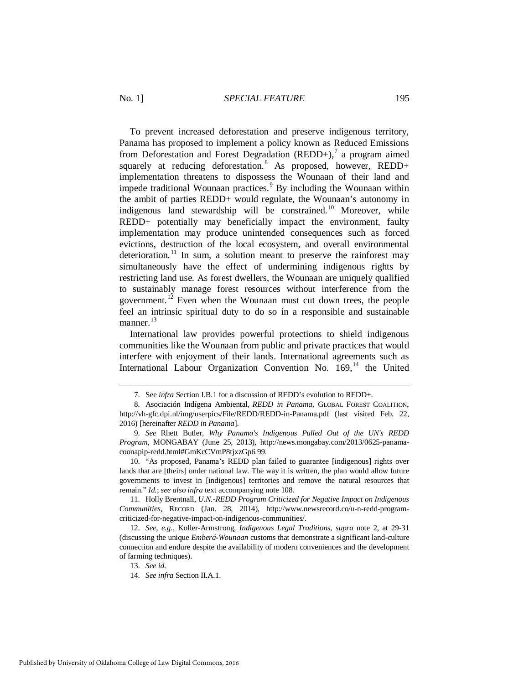<span id="page-3-8"></span>To prevent increased deforestation and preserve indigenous territory, Panama has proposed to implement a policy known as Reduced Emissions from Deforestation and Forest Degradation  $(REDD+)$ ,<sup>[7](#page-3-0)</sup> a program aimed squarely at reducing deforestation.<sup>[8](#page-3-1)</sup> As proposed, however, REDD+ implementation threatens to dispossess the Wounaan of their land and impede traditional Wounaan practices.<sup>[9](#page-3-2)</sup> By including the Wounaan within the ambit of parties REDD+ would regulate, the Wounaan's autonomy in indigenous land stewardship will be constrained.<sup>[10](#page-3-3)</sup> Moreover, while REDD+ potentially may beneficially impact the environment, faulty implementation may produce unintended consequences such as forced evictions, destruction of the local ecosystem, and overall environmental deterioration.<sup>[11](#page-3-4)</sup> In sum, a solution meant to preserve the rainforest may simultaneously have the effect of undermining indigenous rights by restricting land use. As forest dwellers, the Wounaan are uniquely qualified to sustainably manage forest resources without interference from the government.<sup>[12](#page-3-5)</sup> Even when the Wounaan must cut down trees, the people feel an intrinsic spiritual duty to do so in a responsible and sustainable manner. $^{13}$  $^{13}$  $^{13}$ 

<span id="page-3-9"></span>International law provides powerful protections to shield indigenous communities like the Wounaan from public and private practices that would interfere with enjoyment of their lands. International agreements such as International Labour Organization Convention No.  $169<sup>14</sup>$  $169<sup>14</sup>$  $169<sup>14</sup>$  the United

 <sup>7.</sup> See *infra* Section I.B.1 for a discussion of REDD's evolution to REDD+.

<span id="page-3-1"></span><span id="page-3-0"></span> <sup>8.</sup> Asociación Indígena Ambiental, *REDD in Panama*, GLOBAL FOREST COALITION, http://vh-gfc.dpi.nl/img/userpics/File/REDD/REDD-in-Panama.pdf (last visited Feb. 22, 2016) [hereinafter *REDD in Panama*].

<span id="page-3-2"></span> <sup>9.</sup> *See* Rhett Butler, *Why Panama's Indigenous Pulled Out of the UN's REDD Program*, MONGABAY (June 25, 2013), http://news.mongabay.com/2013/0625-panamacoonapip-redd.html#GmKcCVmP8tjxzGp6.99.

<span id="page-3-3"></span> <sup>10. &</sup>quot;As proposed, Panama's REDD plan failed to guarantee [indigenous] rights over lands that are [theirs] under national law. The way it is written, the plan would allow future governments to invest in [indigenous] territories and remove the natural resources that remain." *Id.*; *see also infra* text accompanying note 108.

<span id="page-3-4"></span> <sup>11.</sup> Holly Brentnall, *U.N.-REDD Program Criticized for Negative Impact on Indigenous Communities*, RECORD (Jan. 28, 2014), http://www.newsrecord.co/u-n-redd-programcriticized-for-negative-impact-on-indigenous-communities/.

<span id="page-3-7"></span><span id="page-3-6"></span><span id="page-3-5"></span> <sup>12.</sup> *See*, *e.g.*, Koller-Armstrong, *Indigenous Legal Traditions*, *supra* note [2,](#page-2-7) at 29-31 (discussing the unique *Emberá-Wounaan* customs that demonstrate a significant land-culture connection and endure despite the availability of modern conveniences and the development of farming techniques).

 <sup>13.</sup> *See id.* 

 <sup>14.</sup> *See infra* Section II.A.1.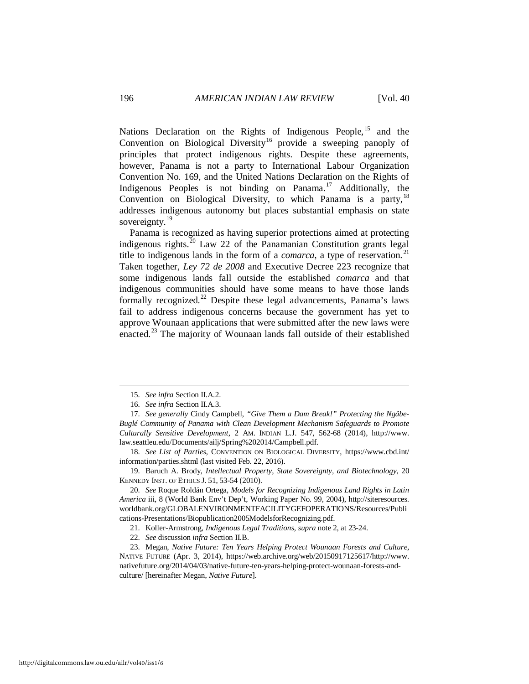Nations Declaration on the Rights of Indigenous People, <sup>[15](#page-4-0)</sup> and the Convention on Biological Diversity<sup>[16](#page-4-1)</sup> provide a sweeping panoply of principles that protect indigenous rights. Despite these agreements, however, Panama is not a party to International Labour Organization Convention No. 169, and the United Nations Declaration on the Rights of Indigenous Peoples is not binding on Panama.[17](#page-4-2) Additionally, the Convention on Biological Diversity, to which Panama is a party,  $18$ addresses indigenous autonomy but places substantial emphasis on state sovereignty.<sup>[19](#page-4-4)</sup>

<span id="page-4-10"></span><span id="page-4-9"></span>Panama is recognized as having superior protections aimed at protecting indigenous rights. $^{20}$  $^{20}$  $^{20}$  Law 22 of the Panamanian Constitution grants legal title to indigenous lands in the form of a *comarca*, a type of reservation. [21](#page-4-6) Taken together, *Ley 72 de 2008* and Executive Decree 223 recognize that some indigenous lands fall outside the established *comarca* and that indigenous communities should have some means to have those lands formally recognized.<sup>[22](#page-4-7)</sup> Despite these legal advancements, Panama's laws fail to address indigenous concerns because the government has yet to approve Wounaan applications that were submitted after the new laws were enacted.[23](#page-4-8) The majority of Wounaan lands fall outside of their established

<span id="page-4-11"></span>-

<span id="page-4-3"></span> 18. *See List of Parties*, CONVENTION ON BIOLOGICAL DIVERSITY, https://www.cbd.int/ information/parties.shtml (last visited Feb. 22, 2016).

<span id="page-4-4"></span> 19. Baruch A. Brody, *Intellectual Property, State Sovereignty, and Biotechnology*, 20 KENNEDY INST. OF ETHICS J. 51, 53-54 (2010).

<span id="page-4-5"></span> 20. *See* Roque Roldán Ortega, *Models for Recognizing Indigenous Land Rights in Latin America* iii, 8 (World Bank Env't Dep't, Working Paper No. 99, 2004), http://siteresources. worldbank.org/GLOBALENVIRONMENTFACILITYGEFOPERATIONS/Resources/Publi cations-Presentations/Biopublication2005ModelsforRecognizing.pdf.

21. Koller-Armstrong, *Indigenous Legal Traditions*, *supra* not[e 2,](#page-2-7) at 23-24.

<span id="page-4-8"></span><span id="page-4-7"></span><span id="page-4-6"></span> 23. Megan, *Native Future: Ten Years Helping Protect Wounaan Forests and Culture*, NATIVE FUTURE (Apr. 3, 2014), https://web.archive.org/web/20150917125617/http://www. nativefuture.org/2014/04/03/native-future-ten-years-helping-protect-wounaan-forests-andculture/ [hereinafter Megan, *Native Future*].

 <sup>15.</sup> *See infra* Section II.A.2.

 <sup>16.</sup> *See infra* Section II.A.3.

<span id="page-4-2"></span><span id="page-4-1"></span><span id="page-4-0"></span> <sup>17.</sup> *See generally* Cindy Campbell, *"Give Them a Dam Break!" Protecting the Ngäbe-Buglé Community of Panama with Clean Development Mechanism Safeguards to Promote Culturally Sensitive Development*, 2 AM. INDIAN L.J. 547, 562-68 (2014), http://www. law.seattleu.edu/Documents/ailj/Spring%202014/Campbell.pdf.

 <sup>22.</sup> *See* discussion *infra* Section II.B.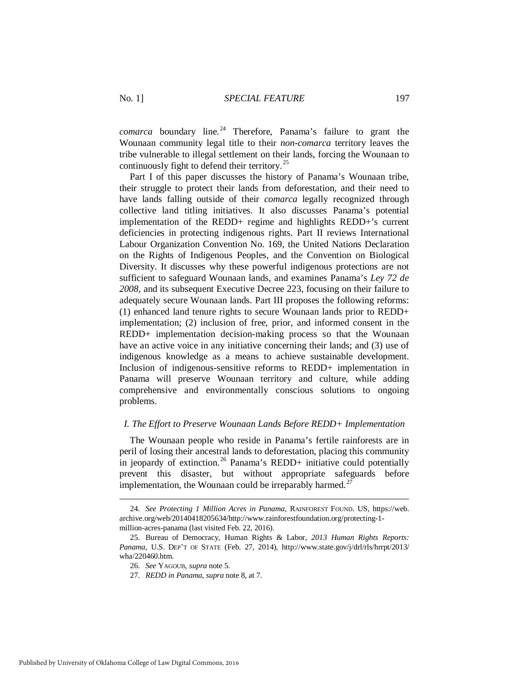<span id="page-5-5"></span>*comarca* boundary line.<sup>[24](#page-5-1)</sup> Therefore, Panama's failure to grant the Wounaan community legal title to their *non-comarca* territory leaves the tribe vulnerable to illegal settlement on their lands, forcing the Wounaan to continuously fight to defend their territory.[25](#page-5-2)

Part I of this paper discusses the history of Panama's Wounaan tribe, their struggle to protect their lands from deforestation, and their need to have lands falling outside of their *comarca* legally recognized through collective land titling initiatives. It also discusses Panama's potential implementation of the REDD+ regime and highlights REDD+'s current deficiencies in protecting indigenous rights. Part II reviews International Labour Organization Convention No. 169, the United Nations Declaration on the Rights of Indigenous Peoples, and the Convention on Biological Diversity. It discusses why these powerful indigenous protections are not sufficient to safeguard Wounaan lands, and examines Panama's *Ley 72 de 2008*, and its subsequent Executive Decree 223, focusing on their failure to adequately secure Wounaan lands. Part III proposes the following reforms: (1) enhanced land tenure rights to secure Wounaan lands prior to REDD+ implementation; (2) inclusion of free, prior, and informed consent in the REDD+ implementation decision-making process so that the Wounaan have an active voice in any initiative concerning their lands; and (3) use of indigenous knowledge as a means to achieve sustainable development. Inclusion of indigenous-sensitive reforms to REDD+ implementation in Panama will preserve Wounaan territory and culture, while adding comprehensive and environmentally conscious solutions to ongoing problems.

#### <span id="page-5-0"></span>*I. The Effort to Preserve Wounaan Lands Before REDD+ Implementation*

The Wounaan people who reside in Panama's fertile rainforests are in peril of losing their ancestral lands to deforestation, placing this community in ieopardy of extinction.<sup>[26](#page-5-3)</sup> Panama's REDD+ initiative could potentially prevent this disaster, but without appropriate safeguards before implementation, the Wounaan could be irreparably harmed.<sup>[27](#page-5-4)</sup>

<span id="page-5-1"></span> <sup>24.</sup> *See Protecting 1 Million Acres in Panama*, RAINFOREST FOUND. US, https://web. archive.org/web/20140418205634/http://www.rainforestfoundation.org/protecting-1 million-acres-panama (last visited Feb. 22, 2016).

<span id="page-5-4"></span><span id="page-5-3"></span><span id="page-5-2"></span> <sup>25.</sup> Bureau of Democracy, Human Rights & Labor, *2013 Human Rights Reports: Panama*, U.S. DEP'T OF STATE (Feb. 27, 2014), http://www.state.gov/j/drl/rls/hrrpt/2013/ wha/220460.htm.

 <sup>26.</sup> *See* YAGOUB, *supra* not[e 5.](#page-2-8)

 <sup>27.</sup> *REDD in Panama*, *supra* note [8,](#page-3-8) at 7.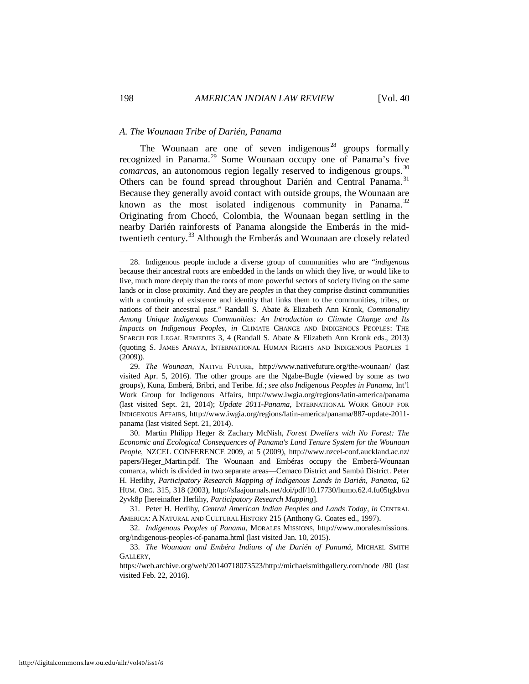#### <span id="page-6-0"></span>*A. The Wounaan Tribe of Darién, Panama*

<span id="page-6-10"></span><span id="page-6-9"></span><span id="page-6-8"></span><span id="page-6-7"></span>The Wounaan are one of seven indigenous<sup>[28](#page-6-1)</sup> groups formally recognized in Panama.[29](#page-6-2) Some Wounaan occupy one of Panama's five *comarcas*, an autonomous region legally reserved to indigenous groups.<sup>[30](#page-6-3)</sup> Others can be found spread throughout Darién and Central Panama.<sup>[31](#page-6-4)</sup> Because they generally avoid contact with outside groups, the Wounaan are known as the most isolated indigenous community in Panama. $32$ Originating from Chocó, Colombia, the Wounaan began settling in the nearby Darién rainforests of Panama alongside the Emberás in the midtwentieth century.[33](#page-6-6) Although the Emberás and Wounaan are closely related

<span id="page-6-1"></span> <sup>28.</sup> Indigenous people include a diverse group of communities who are "*indigenous* because their ancestral roots are embedded in the lands on which they live, or would like to live, much more deeply than the roots of more powerful sectors of society living on the same lands or in close proximity. And they are *peoples* in that they comprise distinct communities with a continuity of existence and identity that links them to the communities, tribes, or nations of their ancestral past." Randall S. Abate & Elizabeth Ann Kronk, *Commonality Among Unique Indigenous Communities: An Introduction to Climate Change and Its Impacts on Indigenous Peoples*, *in* CLIMATE CHANGE AND INDIGENOUS PEOPLES: THE SEARCH FOR LEGAL REMEDIES 3, 4 (Randall S. Abate & Elizabeth Ann Kronk eds., 2013) (quoting S. JAMES ANAYA, INTERNATIONAL HUMAN RIGHTS AND INDIGENOUS PEOPLES 1 (2009)).

<span id="page-6-2"></span> <sup>29.</sup> *The Wounaan*, NATIVE FUTURE, http://www.nativefuture.org/the-wounaan/ (last visited Apr. 5, 2016). The other groups are the Ngabe-Bugle (viewed by some as two groups), Kuna, Emberá, Bribri, and Teribe. *Id.*; *see also Indigenous Peoples in Panama*, Int'l Work Group for Indigenous Affairs, http://www.iwgia.org/regions/latin-america/panama (last visited Sept. 21, 2014); *Update 2011-Panama*, INTERNATIONAL WORK GROUP FOR INDIGENOUS AFFAIRS, http://www.iwgia.org/regions/latin-america/panama/887-update-2011 panama (last visited Sept. 21, 2014).

<span id="page-6-3"></span> <sup>30.</sup> Martin Philipp Heger & Zachary McNish, *Forest Dwellers with No Forest: The Economic and Ecological Consequences of Panama's Land Tenure System for the Wounaan People*, NZCEL CONFERENCE 2009, at 5 (2009), http://www.nzcel-conf.auckland.ac.nz/ papers/Heger\_Martin.pdf. The Wounaan and Embéras occupy the Emberá-Wounaan comarca, which is divided in two separate areas—Cemaco District and Sambú District. Peter H. Herlihy, *Participatory Research Mapping of Indigenous Lands in Darién, Panama*, 62 HUM. ORG. 315, 318 (2003), http://sfaajournals.net/doi/pdf/10.17730/humo.62.4.fu05tgkbvn 2yvk8p [hereinafter Herlihy, *Participatory Research Mapping*].

<span id="page-6-4"></span> <sup>31.</sup> Peter H. Herlihy, *Central American Indian Peoples and Lands Today*, *in* CENTRAL AMERICA: A NATURAL AND CULTURAL HISTORY 215 (Anthony G. Coates ed., 1997).

<span id="page-6-5"></span> <sup>32.</sup> *Indigenous Peoples of Panama*, MORALES MISSIONS, http://www.moralesmissions. org/indigenous-peoples-of-panama.html (last visited Jan. 10, 2015).

<span id="page-6-6"></span> <sup>33.</sup> *The Wounaan and Embéra Indians of the Darién of Panamá*, MICHAEL SMITH GALLERY,

https://web.archive.org/web/20140718073523/http://michaelsmithgallery.com/node /80 (last visited Feb. 22, 2016).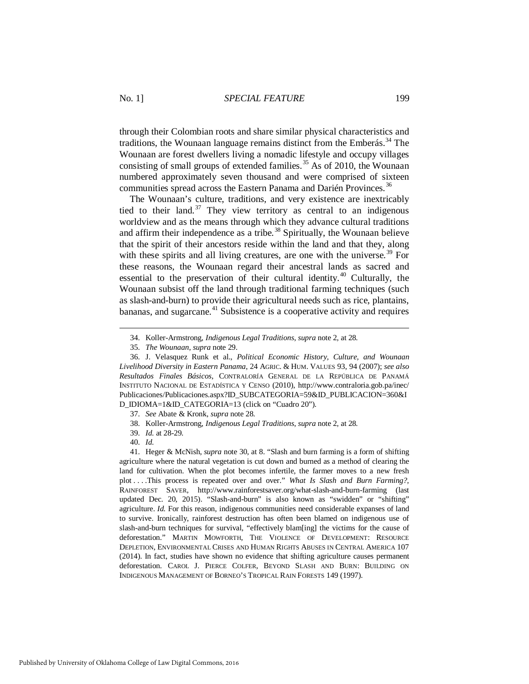through their Colombian roots and share similar physical characteristics and traditions, the Wounaan language remains distinct from the Emberás.<sup>[34](#page-7-0)</sup> The Wounaan are forest dwellers living a nomadic lifestyle and occupy villages consisting of small groups of extended families.<sup>[35](#page-7-1)</sup> As of 2010, the Wounaan numbered approximately seven thousand and were comprised of sixteen communities spread across the Eastern Panama and Darién Provinces. [36](#page-7-2)

The Wounaan's culture, traditions, and very existence are inextricably tied to their land.<sup>[37](#page-7-3)</sup> They view territory as central to an indigenous worldview and as the means through which they advance cultural traditions and affirm their independence as a tribe.<sup>[38](#page-7-4)</sup> Spiritually, the Wounaan believe that the spirit of their ancestors reside within the land and that they, along with these spirits and all living creatures, are one with the universe.<sup>[39](#page-7-5)</sup> For these reasons, the Wounaan regard their ancestral lands as sacred and essential to the preservation of their cultural identity.<sup>[40](#page-7-6)</sup> Culturally, the Wounaan subsist off the land through traditional farming techniques (such as slash-and-burn) to provide their agricultural needs such as rice, plantains, bananas, and sugarcane.<sup>[41](#page-7-7)</sup> Subsistence is a cooperative activity and requires

<span id="page-7-8"></span> <sup>34.</sup> Koller-Armstrong, *Indigenous Legal Traditions*, *supra* not[e 2,](#page-2-7) at 28.

 <sup>35.</sup> *The Wounaan*, *supra* note 29.

<span id="page-7-2"></span><span id="page-7-1"></span><span id="page-7-0"></span> <sup>36.</sup> J. Velasquez Runk et al., *Political Economic History, Culture, and Wounaan Livelihood Diversity in Eastern Panama*, 24 AGRIC. & HUM. VALUES 93, 94 (2007); *see also Resultados Finales Básicos*, CONTRALORÍA GENERAL DE LA REPÚBLICA DE PANAMÁ INSTITUTO NACIONAL DE ESTADÍSTICA Y CENSO (2010), http://www.contraloria.gob.pa/inec/ Publicaciones/Publicaciones.aspx?ID\_SUBCATEGORIA=59&ID\_PUBLICACION=360&I D\_IDIOMA=1&ID\_CATEGORIA=13 (click on "Cuadro 20").

 <sup>37.</sup> *See* Abate & Kronk, *supra* not[e 28.](#page-6-7)

 <sup>38.</sup> Koller-Armstrong, *Indigenous Legal Traditions*, *supra* not[e 2,](#page-2-7) at 28.

 <sup>39.</sup> *Id.* at 28-29.

 <sup>40.</sup> *Id.*

<span id="page-7-7"></span><span id="page-7-6"></span><span id="page-7-5"></span><span id="page-7-4"></span><span id="page-7-3"></span> <sup>41.</sup> Heger & McNish, *supra* note [30,](#page-6-8) at 8. "Slash and burn farming is a form of shifting agriculture where the natural vegetation is cut down and burned as a method of clearing the land for cultivation. When the plot becomes infertile, the farmer moves to a new fresh plot . . . .This process is repeated over and over." *What Is Slash and Burn Farming?*, RAINFOREST SAVER, http://www.rainforestsaver.org/what-slash-and-burn-farming (last updated Dec. 20, 2015). "Slash-and-burn" is also known as "swidden" or "shifting" agriculture. *Id.* For this reason, indigenous communities need considerable expanses of land to survive. Ironically, rainforest destruction has often been blamed on indigenous use of slash-and-burn techniques for survival, "effectively blam[ing] the victims for the cause of deforestation." MARTIN MOWFORTH, THE VIOLENCE OF DEVELOPMENT: RESOURCE DEPLETION, ENVIRONMENTAL CRISES AND HUMAN RIGHTS ABUSES IN CENTRAL AMERICA 107 (2014). In fact, studies have shown no evidence that shifting agriculture causes permanent deforestation. CAROL J. PIERCE COLFER, BEYOND SLASH AND BURN: BUILDING ON INDIGENOUS MANAGEMENT OF BORNEO'S TROPICAL RAIN FORESTS 149 (1997).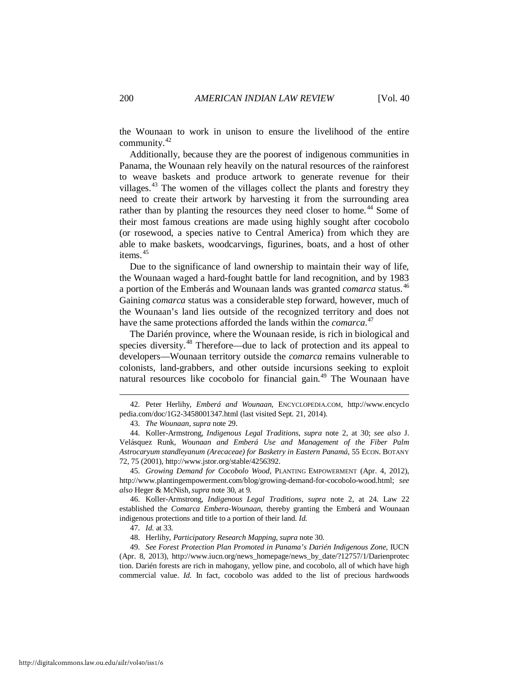the Wounaan to work in unison to ensure the livelihood of the entire community.[42](#page-8-0)

Additionally, because they are the poorest of indigenous communities in Panama, the Wounaan rely heavily on the natural resources of the rainforest to weave baskets and produce artwork to generate revenue for their villages.<sup>[43](#page-8-1)</sup> The women of the villages collect the plants and forestry they need to create their artwork by harvesting it from the surrounding area rather than by planting the resources they need closer to home.<sup>[44](#page-8-2)</sup> Some of their most famous creations are made using highly sought after cocobolo (or rosewood, a species native to Central America) from which they are able to make baskets, woodcarvings, figurines, boats, and a host of other items.<sup>[45](#page-8-3)</sup>

<span id="page-8-8"></span>Due to the significance of land ownership to maintain their way of life, the Wounaan waged a hard-fought battle for land recognition, and by 1983 a portion of the Emberás and Wounaan lands was granted *comarca* status.[46](#page-8-4) Gaining *comarca* status was a considerable step forward, however, much of the Wounaan's land lies outside of the recognized territory and does not have the same protections afforded the lands within the *comarca*. [47](#page-8-5)

The Darién province, where the Wounaan reside, is rich in biological and species diversity.<sup>[48](#page-8-6)</sup> Therefore—due to lack of protection and its appeal to developers—Wounaan territory outside the *comarca* remains vulnerable to colonists, land-grabbers, and other outside incursions seeking to exploit natural resources like cocobolo for financial gain.<sup>[49](#page-8-7)</sup> The Wounaan have

<span id="page-8-3"></span> 45. *Growing Demand for Cocobolo Wood*, PLANTING EMPOWERMENT (Apr. 4, 2012), http://www.plantingempowerment.com/blog/growing-demand-for-cocobolo-wood.html; *see also* Heger & McNish,*supra* not[e 30,](#page-6-8) at 9.

<span id="page-8-4"></span> 46. Koller-Armstrong, *Indigenous Legal Traditions*, *supra* note [2,](#page-2-7) at 24. Law 22 established the *Comarca Embera-Wounaan*, thereby granting the Emberá and Wounaan indigenous protections and title to a portion of their land. *Id.*

47. *Id.* at 33.

<u>.</u>

48. Herlihy, *Participatory Research Mapping*, *supra* not[e 30.](#page-6-10) 

<span id="page-8-7"></span><span id="page-8-6"></span><span id="page-8-5"></span> 49. *See Forest Protection Plan Promoted in Panama's Darién Indigenous Zone*, IUCN (Apr. 8, 2013), http://www.iucn.org/news\_homepage/news\_by\_date/?12757/1/Darienprotec tion. Darién forests are rich in mahogany, yellow pine, and cocobolo, all of which have high commercial value. *Id.* In fact, cocobolo was added to the list of precious hardwoods

<span id="page-8-0"></span> <sup>42.</sup> Peter Herlihy, *Emberá and Wounaan*, ENCYCLOPEDIA.COM, http://www.encyclo pedia.com/doc/1G2-3458001347.html (last visited Sept. 21, 2014).

 <sup>43.</sup> *The Wounaan*, *supra* not[e 29.](#page-6-9)

<span id="page-8-2"></span><span id="page-8-1"></span> <sup>44.</sup> Koller-Armstrong, *Indigenous Legal Traditions*, *supra* note [2,](#page-2-7) at 30; *see also* J. Velásquez Runk, *Wounaan and Emberá Use and Management of the Fiber Palm Astrocaryum standleyanum (Arecaceae) for Basketry in Eastern Panamá*, 55 ECON. BOTANY 72, 75 (2001), http://www.jstor.org/stable/4256392.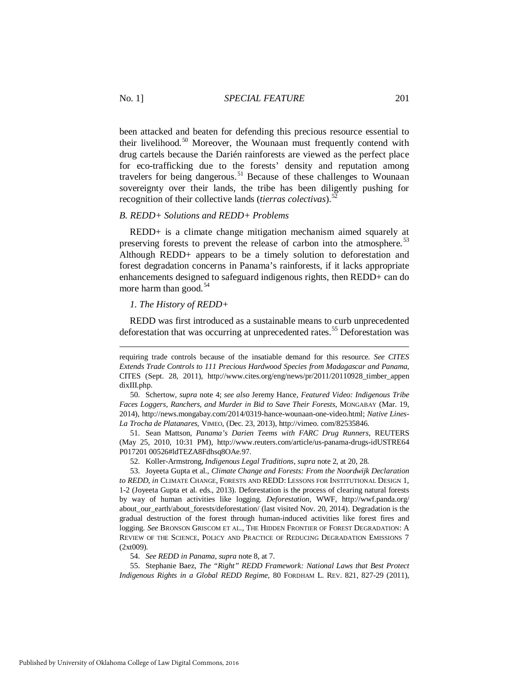#### No. 1] *SPECIAL FEATURE* 201

been attacked and beaten for defending this precious resource essential to their livelihood.<sup>[50](#page-9-2)</sup> Moreover, the Wounaan must frequently contend with drug cartels because the Darién rainforests are viewed as the perfect place for eco-trafficking due to the forests' density and reputation among travelers for being dangerous.<sup>[51](#page-9-3)</sup> Because of these challenges to Wounaan sovereignty over their lands, the tribe has been diligently pushing for recognition of their collective lands (*tierras colectivas*).[52](#page-9-4) 

#### <span id="page-9-0"></span>*B. REDD+ Solutions and REDD+ Problems*

REDD+ is a climate change mitigation mechanism aimed squarely at preserving forests to prevent the release of carbon into the atmosphere.<sup>[53](#page-9-5)</sup> Although REDD+ appears to be a timely solution to deforestation and forest degradation concerns in Panama's rainforests, if it lacks appropriate enhancements designed to safeguard indigenous rights, then REDD+ can do more harm than good.<sup>[54](#page-9-6)</sup>

#### <span id="page-9-9"></span><span id="page-9-8"></span><span id="page-9-1"></span>*1. The History of REDD+*

REDD was first introduced as a sustainable means to curb unprecedented deforestation that was occurring at unprecedented rates.<sup>[55](#page-9-7)</sup> Deforestation was

<span id="page-9-3"></span> 51. Sean Mattson, *Panama's Darien Teems with FARC Drug Runners*, REUTERS (May 25, 2010, 10:31 PM), http://www.reuters.com/article/us-panama-drugs-idUSTRE64 P017201 00526#ldTEZA8Fdhsq8OAe.97.

52. Koller-Armstrong, *Indigenous Legal Traditions*, *supra* not[e 2,](#page-2-7) at 20, 28.

<span id="page-9-5"></span><span id="page-9-4"></span> 53. Joyeeta Gupta et al., *Climate Change and Forests: From the Noordwijk Declaration to REDD*, *in* CLIMATE CHANGE, FORESTS AND REDD: LESSONS FOR INSTITUTIONAL DESIGN 1, 1-2 (Joyeeta Gupta et al. eds., 2013). Deforestation is the process of clearing natural forests by way of human activities like logging. *Deforestation*, WWF, http://wwf.panda.org/ about\_our\_earth/about\_forests/deforestation/ (last visited Nov. 20, 2014). Degradation is the gradual destruction of the forest through human-induced activities like forest fires and logging. *See* BRONSON GRISCOM ET AL., THE HIDDEN FRONTIER OF FOREST DEGRADATION: A REVIEW OF THE SCIENCE, POLICY AND PRACTICE OF REDUCING DEGRADATION EMISSIONS 7 (2xt009).

54. *See REDD in Panama*, *supra* not[e 8,](#page-3-8) at 7.

<span id="page-9-7"></span><span id="page-9-6"></span> 55. Stephanie Baez, *The "Right" REDD Framework: National Laws that Best Protect Indigenous Rights in a Global REDD Regime*, 80 FORDHAM L. REV. 821, 827-29 (2011),

requiring trade controls because of the insatiable demand for this resource. *See CITES Extends Trade Controls to 111 Precious Hardwood Species from Madagascar and Panama*, CITES (Sept. 28, 2011), http://www.cites.org/eng/news/pr/2011/20110928\_timber\_appen dixIII.php.

<span id="page-9-2"></span> <sup>50.</sup> Schertow, *supra* note 4; *see also* Jeremy Hance, *Featured Video: Indigenous Tribe Faces Loggers, Ranchers, and Murder in Bid to Save Their Forests*, MONGABAY (Mar. 19, 2014), http://news.mongabay.com/2014/0319-hance-wounaan-one-video.html; *Native Lines-La Trocha de Platanares*, VIMEO, (Dec. 23, 2013), http://vimeo. com/82535846.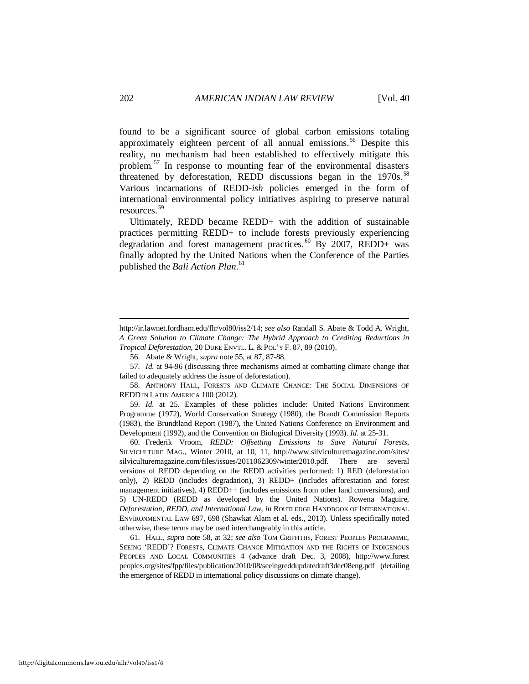<span id="page-10-0"></span>found to be a significant source of global carbon emissions totaling approximately eighteen percent of all annual emissions.<sup>[56](#page-10-1)</sup> Despite this reality, no mechanism had been established to effectively mitigate this problem.[57](#page-10-2) In response to mounting fear of the environmental disasters threatened by deforestation, REDD discussions began in the  $1970s$ .<sup>[58](#page-10-3)</sup> Various incarnations of REDD-*ish* policies emerged in the form of international environmental policy initiatives aspiring to preserve natural resources.[59](#page-10-4) 

<span id="page-10-8"></span><span id="page-10-7"></span>Ultimately, REDD became REDD+ with the addition of sustainable practices permitting REDD+ to include forests previously experiencing degradation and forest management practices.<sup>[60](#page-10-5)</sup> By 2007, REDD+ was finally adopted by the United Nations when the Conference of the Parties published the *Bali Action Plan*. [61](#page-10-6)

<span id="page-10-5"></span> 60. Frederik Vroom, *REDD: Offsetting Emissions to Save Natural Forests*, SILVICULTURE MAG., Winter 2010, at 10, 11, http://www.silviculturemagazine.com/sites/ silviculturemagazine.com/files/issues/2011062309/winter2010.pdf. There are several versions of REDD depending on the REDD activities performed: 1) RED (deforestation only), 2) REDD (includes degradation), 3) REDD+ (includes afforestation and forest management initiatives), 4) REDD++ (includes emissions from other land conversions), and 5) UN-REDD (REDD as developed by the United Nations). Rowena Maguire, *Deforestation, REDD, and International Law*, *in* ROUTLEDGE HANDBOOK OF INTERNATIONAL ENVIRONMENTAL LAW 697, 698 (Shawkat Alam et al. eds., 2013). Unless specifically noted otherwise, these terms may be used interchangeably in this article.

<span id="page-10-6"></span> 61. HALL, *supra* note [58,](#page-10-0) at 32; *see also* TOM GRIFFITHS, FOREST PEOPLES PROGRAMME, SEEING 'REDD'? FORESTS, CLIMATE CHANGE MITIGATION AND THE RIGHTS OF INDIGENOUS PEOPLES AND LOCAL COMMUNITIES 4 (advance draft Dec. 3, 2008), http://www.forest peoples.org/sites/fpp/files/publication/2010/08/seeingreddupdatedraft3dec08eng.pdf (detailing the emergence of REDD in international policy discussions on climate change).

http://ir.lawnet.fordham.edu/flr/vol80/iss2/14; *see also* Randall S. Abate & Todd A. Wright, *A Green Solution to Climate Change: The Hybrid Approach to Crediting Reductions in Tropical Deforestation*, 20 DUKE ENVTL. L. & POL'Y F. 87, 89 (2010).

 <sup>56.</sup> Abate & Wright, *supra* note [55,](#page-9-8) at 87, 87-88.

<span id="page-10-2"></span><span id="page-10-1"></span> <sup>57.</sup> *Id.* at 94-96 (discussing three mechanisms aimed at combatting climate change that failed to adequately address the issue of deforestation).

<span id="page-10-3"></span> <sup>58.</sup> ANTHONY HALL, FORESTS AND CLIMATE CHANGE: THE SOCIAL DIMENSIONS OF REDD IN LATIN AMERICA 100 (2012).

<span id="page-10-4"></span> <sup>59.</sup> *Id.* at 25. Examples of these policies include: United Nations Environment Programme (1972), World Conservation Strategy (1980), the Brandt Commission Reports (1983), the Brundtland Report (1987), the United Nations Conference on Environment and Development (1992), and the Convention on Biological Diversity (1993). *Id.* at 25-31.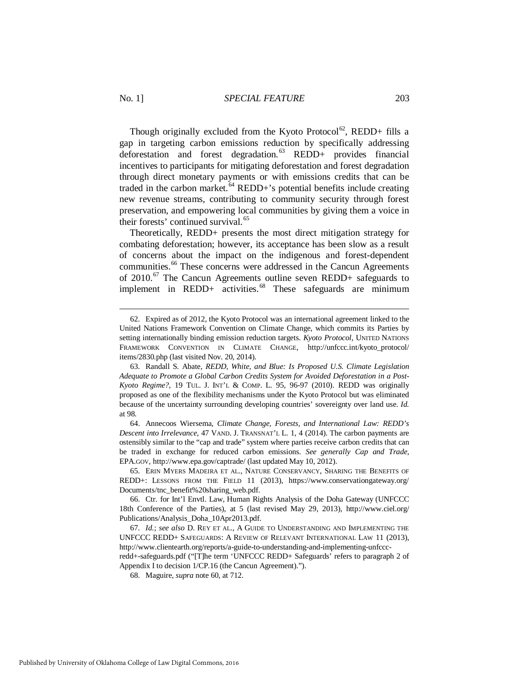Though originally excluded from the Kyoto Protocol<sup>62</sup>, REDD+ fills a gap in targeting carbon emissions reduction by specifically addressing deforestation and forest degradation.<sup>[63](#page-11-1)</sup> REDD+ provides financial incentives to participants for mitigating deforestation and forest degradation through direct monetary payments or with emissions credits that can be traded in the carbon market.<sup>[64](#page-11-2)</sup> REDD+'s potential benefits include creating new revenue streams, contributing to community security through forest preservation, and empowering local communities by giving them a voice in their forests' continued survival.<sup>[65](#page-11-3)</sup>

<span id="page-11-7"></span>Theoretically, REDD+ presents the most direct mitigation strategy for combating deforestation; however, its acceptance has been slow as a result of concerns about the impact on the indigenous and forest-dependent communities.<sup>[66](#page-11-4)</sup> These concerns were addressed in the Cancun Agreements of 2010.<sup>[67](#page-11-5)</sup> The Cancun Agreements outline seven REDD+ safeguards to implement in REDD+ activities. $68$  These safeguards are minimum

<span id="page-11-2"></span> 64. Annecoos Wiersema, *Climate Change, Forests, and International Law: REDD's Descent into Irrelevance*, 47 VAND. J. TRANSNAT'L L. 1, 4 (2014). The carbon payments are ostensibly similar to the "cap and trade" system where parties receive carbon credits that can be traded in exchange for reduced carbon emissions. *See generally Cap and Trade*, EPA.GOV, http://www.epa.gov/captrade/ (last updated May 10, 2012).

<span id="page-11-3"></span> 65. ERIN MYERS MADEIRA ET AL., NATURE CONSERVANCY, SHARING THE BENEFITS OF REDD+: LESSONS FROM THE FIELD 11 (2013), https://www.conservationgateway.org/ Documents/tnc\_benefit%20sharing\_web.pdf.

<span id="page-11-4"></span> 66. Ctr. for Int'l Envtl. Law, Human Rights Analysis of the Doha Gateway (UNFCCC 18th Conference of the Parties), at 5 (last revised May 29, 2013), http://www.ciel.org/ Publications/Analysis\_Doha\_10Apr2013.pdf.

<span id="page-11-5"></span> 67. *Id.*; *see also* D. REY ET AL., A GUIDE TO UNDERSTANDING AND IMPLEMENTING THE UNFCCC REDD+ SAFEGUARDS: A REVIEW OF RELEVANT INTERNATIONAL LAW 11 (2013), http://www.clientearth.org/reports/a-guide-to-understanding-and-implementing-unfcccredd+-safeguards.pdf ("[T]he term 'UNFCCC REDD+ Safeguards' refers to paragraph 2 of

<span id="page-11-6"></span>Appendix I to decision 1/CP.16 (the Cancun Agreement).").

68. Maguire, *supra* note [60,](#page-10-7) at 712.

<span id="page-11-0"></span> <sup>62.</sup> Expired as of 2012, the Kyoto Protocol was an international agreement linked to the United Nations Framework Convention on Climate Change, which commits its Parties by setting internationally binding emission reduction targets. *Kyoto Protocol*, UNITED NATIONS FRAMEWORK CONVENTION IN CLIMATE CHANGE, http://unfccc.int/kyoto\_protocol/ items/2830.php (last visited Nov. 20, 2014).

<span id="page-11-1"></span> <sup>63.</sup> Randall S. Abate, *REDD, White, and Blue: Is Proposed U.S. Climate Legislation Adequate to Promote a Global Carbon Credits System for Avoided Deforestation in a Post-Kyoto Regime?*, 19 TUL. J. INT'L & COMP. L. 95, 96-97 (2010). REDD was originally proposed as one of the flexibility mechanisms under the Kyoto Protocol but was eliminated because of the uncertainty surrounding developing countries' sovereignty over land use. *Id.* at 98.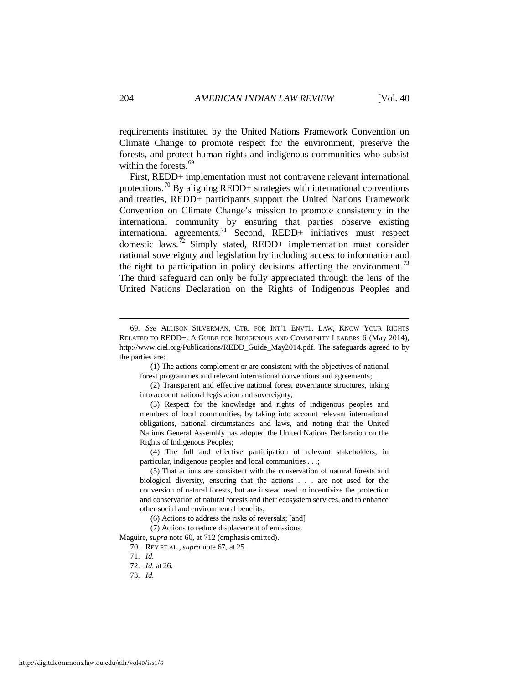requirements instituted by the United Nations Framework Convention on Climate Change to promote respect for the environment, preserve the forests, and protect human rights and indigenous communities who subsist within the forests.  $69$ 

First, REDD+ implementation must not contravene relevant international protections.<sup>[70](#page-12-1)</sup> By aligning REDD+ strategies with international conventions and treaties, REDD+ participants support the United Nations Framework Convention on Climate Change's mission to promote consistency in the international community by ensuring that parties observe existing international agreements.[71](#page-12-2) Second, REDD+ initiatives must respect domestic laws.<sup> $72$ </sup> Simply stated, REDD+ implementation must consider national sovereignty and legislation by including access to information and the right to participation in policy decisions affecting the environment.<sup>[73](#page-12-4)</sup> The third safeguard can only be fully appreciated through the lens of the United Nations Declaration on the Rights of Indigenous Peoples and

 (1) The actions complement or are consistent with the objectives of national forest programmes and relevant international conventions and agreements;

 (2) Transparent and effective national forest governance structures, taking into account national legislation and sovereignty;

 (3) Respect for the knowledge and rights of indigenous peoples and members of local communities, by taking into account relevant international obligations, national circumstances and laws, and noting that the United Nations General Assembly has adopted the United Nations Declaration on the Rights of Indigenous Peoples;

 (4) The full and effective participation of relevant stakeholders, in particular, indigenous peoples and local communities . . .;

<span id="page-12-4"></span><span id="page-12-3"></span><span id="page-12-2"></span><span id="page-12-1"></span>Maguire, *supra* not[e 60,](#page-10-7) at 712 (emphasis omitted).

<span id="page-12-0"></span> <sup>69.</sup> *See* ALLISON SILVERMAN, CTR. FOR INT'L ENVTL. LAW, KNOW YOUR RIGHTS RELATED TO REDD+: A GUIDE FOR INDIGENOUS AND COMMUNITY LEADERS 6 (May 2014), http://www.ciel.org/Publications/REDD\_Guide\_May2014.pdf. The safeguards agreed to by the parties are:

 <sup>(5)</sup> That actions are consistent with the conservation of natural forests and biological diversity, ensuring that the actions . . . are not used for the conversion of natural forests, but are instead used to incentivize the protection and conservation of natural forests and their ecosystem services, and to enhance other social and environmental benefits;

 <sup>(6)</sup> Actions to address the risks of reversals; [and]

 <sup>(7)</sup> Actions to reduce displacement of emissions.

 <sup>70.</sup> REY ET AL., *supra* note [67,](#page-11-7) at 25.

 <sup>71.</sup> *Id.*

 <sup>72.</sup> *Id.* at 26.

 <sup>73.</sup> *Id.*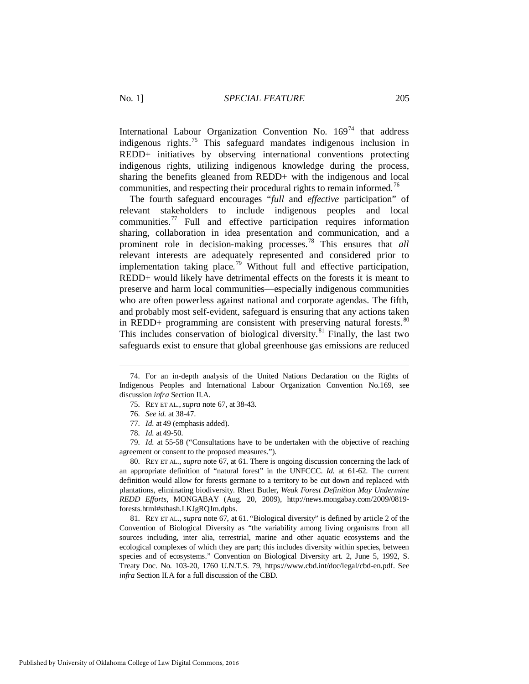International Labour Organization Convention No.  $169<sup>74</sup>$  $169<sup>74</sup>$  $169<sup>74</sup>$  that address indigenous rights.[75](#page-13-1) This safeguard mandates indigenous inclusion in REDD+ initiatives by observing international conventions protecting indigenous rights, utilizing indigenous knowledge during the process, sharing the benefits gleaned from REDD+ with the indigenous and local communities, and respecting their procedural rights to remain informed.<sup>[76](#page-13-2)</sup>

The fourth safeguard encourages "*full* and *effective* participation" of relevant stakeholders to include indigenous peoples and local communities.[77](#page-13-3) Full and effective participation requires information sharing, collaboration in idea presentation and communication, and a prominent role in decision-making processes.[78](#page-13-4) This ensures that *all* relevant interests are adequately represented and considered prior to implementation taking place.<sup>[79](#page-13-5)</sup> Without full and effective participation, REDD+ would likely have detrimental effects on the forests it is meant to preserve and harm local communities—especially indigenous communities who are often powerless against national and corporate agendas. The fifth, and probably most self-evident, safeguard is ensuring that any actions taken in REDD+ programming are consistent with preserving natural forests.  $80$ This includes conservation of biological diversity.<sup>[81](#page-13-7)</sup> Finally, the last two safeguards exist to ensure that global greenhouse gas emissions are reduced

<span id="page-13-9"></span>-

<span id="page-13-5"></span><span id="page-13-4"></span><span id="page-13-3"></span><span id="page-13-2"></span> 79. *Id.* at 55-58 ("Consultations have to be undertaken with the objective of reaching agreement or consent to the proposed measures.").

<span id="page-13-6"></span> 80. REY ET AL., *supra* not[e 67,](#page-11-7) at 61. There is ongoing discussion concerning the lack of an appropriate definition of "natural forest" in the UNFCCC. *Id.* at 61-62. The current definition would allow for forests germane to a territory to be cut down and replaced with plantations, eliminating biodiversity. Rhett Butler, *Weak Forest Definition May Undermine REDD Efforts*, MONGABAY (Aug. 20, 2009), http://news.mongabay.com/2009/0819 forests.html#sthash.LKJgRQJm.dpbs.

<span id="page-13-7"></span> 81. REY ET AL., *supra* not[e 67,](#page-11-7) at 61. "Biological diversity" is defined by article 2 of the Convention of Biological Diversity as "the variability among living organisms from all sources including, inter alia, terrestrial, marine and other aquatic ecosystems and the ecological complexes of which they are part; this includes diversity within species, between species and of ecosystems." Convention on Biological Diversity art. 2, June 5, 1992, S. Treaty Doc. No. 103-20, 1760 U.N.T.S. 79, https://www.cbd.int/doc/legal/cbd-en.pdf. See *infra* Section II.A for a full discussion of the CBD.

<span id="page-13-1"></span><span id="page-13-0"></span> <sup>74.</sup> For an in-depth analysis of the United Nations Declaration on the Rights of Indigenous Peoples and International Labour Organization Convention No.169, see discussion *infra* Section II.A.

<span id="page-13-8"></span> <sup>75.</sup> REY ET AL., *supra* note [67,](#page-11-7) at 38-43.

 <sup>76.</sup> *See id.* at 38-47.

 <sup>77.</sup> *Id.* at 49 (emphasis added).

 <sup>78.</sup> *Id.* at 49-50.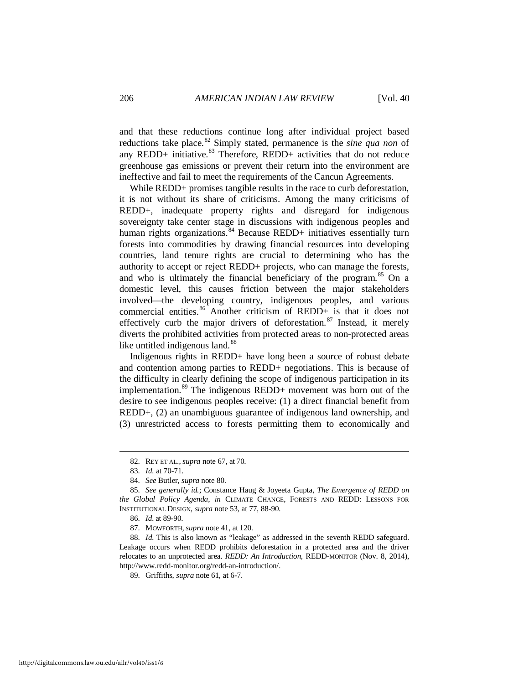and that these reductions continue long after individual project based reductions take place.<sup>[82](#page-14-0)</sup> Simply stated, permanence is the *sine qua non* of any REDD+ initiative. $83$  Therefore, REDD+ activities that do not reduce greenhouse gas emissions or prevent their return into the environment are ineffective and fail to meet the requirements of the Cancun Agreements.

While REDD+ promises tangible results in the race to curb deforestation, it is not without its share of criticisms. Among the many criticisms of REDD+, inadequate property rights and disregard for indigenous sovereignty take center stage in discussions with indigenous peoples and human rights organizations.<sup>[84](#page-14-2)</sup> Because REDD+ initiatives essentially turn forests into commodities by drawing financial resources into developing countries, land tenure rights are crucial to determining who has the authority to accept or reject REDD+ projects, who can manage the forests, and who is ultimately the financial beneficiary of the program.<sup>[85](#page-14-3)</sup> On a domestic level, this causes friction between the major stakeholders involved—the developing country, indigenous peoples, and various commercial entities.<sup>[86](#page-14-4)</sup> Another criticism of REDD+ is that it does not effectively curb the major drivers of deforestation.<sup>[87](#page-14-5)</sup> Instead, it merely diverts the prohibited activities from protected areas to non-protected areas like untitled indigenous land.<sup>[88](#page-14-6)</sup>

Indigenous rights in REDD+ have long been a source of robust debate and contention among parties to REDD+ negotiations. This is because of the difficulty in clearly defining the scope of indigenous participation in its implementation.<sup>[89](#page-14-7)</sup> The indigenous REDD+ movement was born out of the desire to see indigenous peoples receive: (1) a direct financial benefit from REDD+, (2) an unambiguous guarantee of indigenous land ownership, and (3) unrestricted access to forests permitting them to economically and

 <sup>82.</sup> REY ET AL., *supra* note [67,](#page-11-7) at 70.

 <sup>83.</sup> *Id.* at 70-71.

 <sup>84.</sup> *See* Butler, *supra* not[e 80.](#page-13-8) 

<span id="page-14-3"></span><span id="page-14-2"></span><span id="page-14-1"></span><span id="page-14-0"></span> <sup>85.</sup> *See generally id.*; Constance Haug & Joyeeta Gupta, *The Emergence of REDD on the Global Policy Agenda*, *in* CLIMATE CHANGE, FORESTS AND REDD: LESSONS FOR INSTITUTIONAL DESIGN, *supra* note [53,](#page-9-9) at 77, 88-90.

 <sup>86.</sup> *Id.* at 89-90.

 <sup>87.</sup> MOWFORTH, *supra* not[e 41,](#page-7-8) at 120.

<span id="page-14-7"></span><span id="page-14-6"></span><span id="page-14-5"></span><span id="page-14-4"></span> <sup>88.</sup> *Id.* This is also known as "leakage" as addressed in the seventh REDD safeguard. Leakage occurs when REDD prohibits deforestation in a protected area and the driver relocates to an unprotected area. *REDD: An Introduction*, REDD-MONITOR (Nov. 8, 2014), http://www.redd-monitor.org/redd-an-introduction/.

 <sup>89.</sup> Griffiths, *supra* not[e 61,](#page-10-8) at 6-7.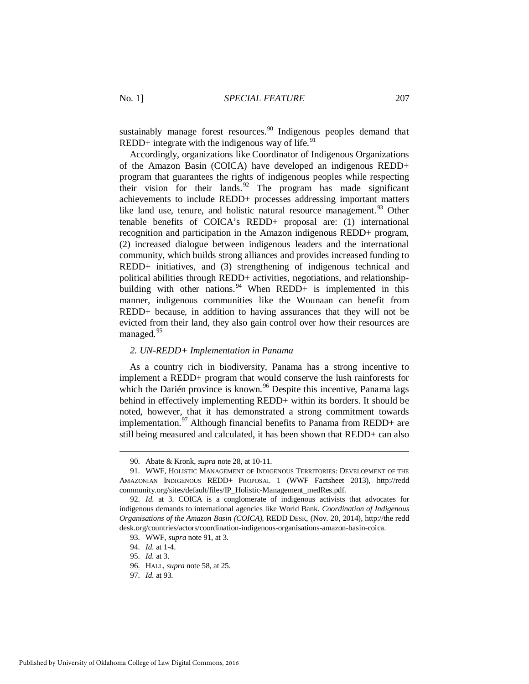<span id="page-15-1"></span>sustainably manage forest resources.<sup>[90](#page-15-2)</sup> Indigenous peoples demand that REDD+ integrate with the indigenous way of life. $91$ 

Accordingly, organizations like Coordinator of Indigenous Organizations of the Amazon Basin (COICA) have developed an indigenous REDD+ program that guarantees the rights of indigenous peoples while respecting their vision for their lands.<sup>[92](#page-15-4)</sup> The program has made significant achievements to include REDD+ processes addressing important matters like land use, tenure, and holistic natural resource management.<sup>[93](#page-15-5)</sup> Other tenable benefits of COICA's REDD+ proposal are: (1) international recognition and participation in the Amazon indigenous REDD+ program, (2) increased dialogue between indigenous leaders and the international community, which builds strong alliances and provides increased funding to REDD+ initiatives, and (3) strengthening of indigenous technical and political abilities through REDD+ activities, negotiations, and relationship-building with other nations. <sup>[94](#page-15-6)</sup> When REDD+ is implemented in this manner, indigenous communities like the Wounaan can benefit from REDD+ because, in addition to having assurances that they will not be evicted from their land, they also gain control over how their resources are managed.<sup>[95](#page-15-7)</sup>

#### <span id="page-15-0"></span>*2. UN-REDD+ Implementation in Panama*

As a country rich in biodiversity, Panama has a strong incentive to implement a REDD+ program that would conserve the lush rainforests for which the Darién province is known.<sup>[96](#page-15-8)</sup> Despite this incentive, Panama lags behind in effectively implementing REDD+ within its borders. It should be noted, however, that it has demonstrated a strong commitment towards implementation.<sup>[97](#page-15-9)</sup> Although financial benefits to Panama from REDD+ are still being measured and calculated, it has been shown that REDD+ can also

 <sup>90.</sup> Abate & Kronk, *supra* not[e 28,](#page-6-7) at 10-11.

<span id="page-15-3"></span><span id="page-15-2"></span> <sup>91.</sup> WWF, HOLISTIC MANAGEMENT OF INDIGENOUS TERRITORIES: DEVELOPMENT OF THE AMAZONIAN INDIGENOUS REDD+ PROPOSAL 1 (WWF Factsheet 2013), http://redd community.org/sites/default/files/IP\_Holistic-Management\_medRes.pdf.

<span id="page-15-6"></span><span id="page-15-5"></span><span id="page-15-4"></span> <sup>92.</sup> *Id.* at 3. COICA is a conglomerate of indigenous activists that advocates for indigenous demands to international agencies like World Bank. *Coordination of Indigenous Organisations of the Amazon Basin (COICA)*, REDD DESK, (Nov. 20, 2014), http://the redd desk.org/countries/actors/coordination-indigenous-organisations-amazon-basin-coica.

 <sup>93.</sup> WWF, *supra* not[e 91,](#page-15-1) at 3.

 <sup>94.</sup> *Id.* at 1-4.

<span id="page-15-7"></span> <sup>95.</sup> *Id.* at 3.

<span id="page-15-8"></span> <sup>96.</sup> HALL, *supra* not[e 58,](#page-10-0) at 25.

<span id="page-15-9"></span> <sup>97.</sup> *Id.* at 93.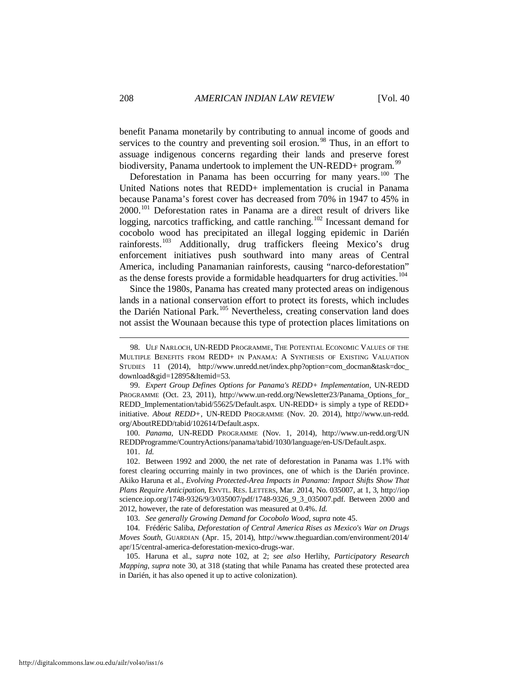benefit Panama monetarily by contributing to annual income of goods and services to the country and preventing soil erosion.<sup>[98](#page-16-1)</sup> Thus, in an effort to assuage indigenous concerns regarding their lands and preserve forest biodiversity, Panama undertook to implement the UN-REDD+ program.<sup>[99](#page-16-2)</sup>

<span id="page-16-0"></span>Deforestation in Panama has been occurring for many years.<sup>[100](#page-16-3)</sup> The United Nations notes that REDD+ implementation is crucial in Panama because Panama's forest cover has decreased from 70% in 1947 to 45% in 2000.[101](#page-16-4) Deforestation rates in Panama are a direct result of drivers like logging, narcotics trafficking, and cattle ranching.<sup>[102](#page-16-5)</sup> Incessant demand for cocobolo wood has precipitated an illegal logging epidemic in Darién rainforests.[103](#page-16-6) Additionally, drug traffickers fleeing Mexico's drug enforcement initiatives push southward into many areas of Central America, including Panamanian rainforests, causing "narco-deforestation" as the dense forests provide a formidable headquarters for drug activities.<sup>104</sup>

Since the 1980s, Panama has created many protected areas on indigenous lands in a national conservation effort to protect its forests, which includes the Darién National Park.<sup>[105](#page-16-8)</sup> Nevertheless, creating conservation land does not assist the Wounaan because this type of protection places limitations on

<span id="page-16-3"></span> 100. *Panama*, UN-REDD PROGRAMME (Nov. 1, 2014), http://www.un-redd.org/UN REDDProgramme/CountryActions/panama/tabid/1030/language/en-US/Default.aspx. 101. *Id.*

<u>.</u>

103. *See generally Growing Demand for Cocobolo Wood*, *supra* not[e 45.](#page-8-8) 

<span id="page-16-1"></span> <sup>98.</sup> ULF NARLOCH, UN-REDD PROGRAMME, THE POTENTIAL ECONOMIC VALUES OF THE MULTIPLE BENEFITS FROM REDD+ IN PANAMA: A SYNTHESIS OF EXISTING VALUATION STUDIES 11 (2014), http://www.unredd.net/index.php?option=com\_docman&task=doc\_ download&gid=12895&Itemid=53.

<span id="page-16-2"></span> <sup>99.</sup> *Expert Group Defines Options for Panama's REDD+ Implementation*, UN-REDD PROGRAMME (Oct. 23, 2011), http://www.un-redd.org/Newsletter23/Panama\_Options for REDD\_Implementation/tabid/55625/Default.aspx. UN-REDD+ is simply a type of REDD+ initiative. *About REDD+*, UN-REDD PROGRAMME (Nov. 20. 2014), http://www.un-redd. org/AboutREDD/tabid/102614/Default.aspx.

<span id="page-16-5"></span><span id="page-16-4"></span> <sup>102.</sup> Between 1992 and 2000, the net rate of deforestation in Panama was 1.1% with forest clearing occurring mainly in two provinces, one of which is the Darién province. Akiko Haruna et al., *Evolving Protected-Area Impacts in Panama: Impact Shifts Show That Plans Require Anticipation*, ENVTL. RES. LETTERS, Mar. 2014, No. 035007, at 1, 3, http://iop science.iop.org/1748-9326/9/3/035007/pdf/1748-9326\_9\_3\_035007.pdf. Between 2000 and 2012, however, the rate of deforestation was measured at 0.4%. *Id.*

<span id="page-16-7"></span><span id="page-16-6"></span> <sup>104.</sup> Frédéric Saliba, *Deforestation of Central America Rises as Mexico's War on Drugs Moves South*, GUARDIAN (Apr. 15, 2014), http://www.theguardian.com/environment/2014/ apr/15/central-america-deforestation-mexico-drugs-war.

<span id="page-16-8"></span> <sup>105.</sup> Haruna et al., *supra* note [102,](#page-16-0) at 2; *see also* Herlihy, *Participatory Research Mapping*, *supra* note [30,](#page-6-10) at 318 (stating that while Panama has created these protected area in Darién, it has also opened it up to active colonization).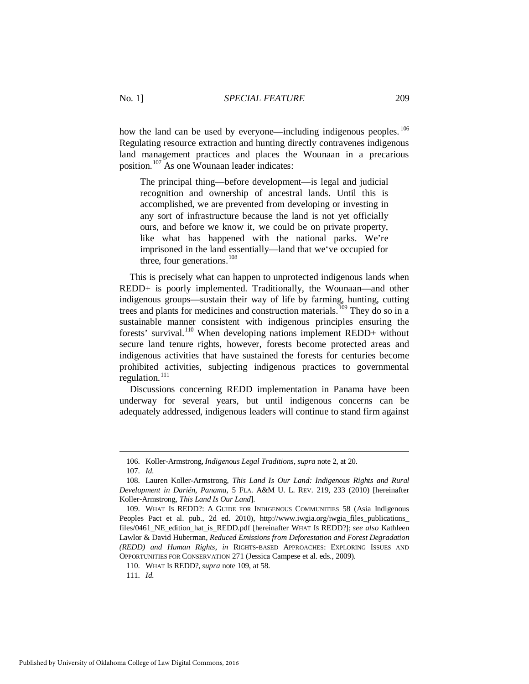how the land can be used by everyone—including indigenous peoples. <sup>[106](#page-17-1)</sup> Regulating resource extraction and hunting directly contravenes indigenous land management practices and places the Wounaan in a precarious position.[107](#page-17-2) As one Wounaan leader indicates:

The principal thing—before development—is legal and judicial recognition and ownership of ancestral lands. Until this is accomplished, we are prevented from developing or investing in any sort of infrastructure because the land is not yet officially ours, and before we know it, we could be on private property, like what has happened with the national parks. We're imprisoned in the land essentially—land that we've occupied for three, four generations. $108$ 

<span id="page-17-7"></span><span id="page-17-0"></span>This is precisely what can happen to unprotected indigenous lands when REDD+ is poorly implemented. Traditionally, the Wounaan—and other indigenous groups—sustain their way of life by farming, hunting, cutting trees and plants for medicines and construction materials.<sup>[109](#page-17-4)</sup> They do so in a sustainable manner consistent with indigenous principles ensuring the forests' survival.[110](#page-17-5) When developing nations implement REDD+ without secure land tenure rights, however, forests become protected areas and indigenous activities that have sustained the forests for centuries become prohibited activities, subjecting indigenous practices to governmental regulation. $^{111}$  $^{111}$  $^{111}$ 

Discussions concerning REDD implementation in Panama have been underway for several years, but until indigenous concerns can be adequately addressed, indigenous leaders will continue to stand firm against

<u>.</u>

<span id="page-17-6"></span><span id="page-17-5"></span>111. *Id.*

 <sup>106.</sup> Koller-Armstrong, *Indigenous Legal Traditions*, *supra* not[e 2,](#page-2-7) at 20.

 <sup>107.</sup> *Id.*

<span id="page-17-3"></span><span id="page-17-2"></span><span id="page-17-1"></span> <sup>108.</sup> Lauren Koller-Armstrong, *This Land Is Our Land: Indigenous Rights and Rural Development in Darién, Panama*, 5 FLA. A&M U. L. REV. 219, 233 (2010) [hereinafter Koller-Armstrong, *This Land Is Our Land*].

<span id="page-17-4"></span> <sup>109.</sup> WHAT IS REDD?: A GUIDE FOR INDIGENOUS COMMUNITIES 58 (Asia Indigenous Peoples Pact et al. pub., 2d ed. 2010), http://www.iwgia.org/iwgia\_files\_publications\_ files/0461\_NE\_edition\_hat\_is\_REDD.pdf [hereinafter WHAT IS REDD?]; *see also* Kathleen Lawlor & David Huberman, *Reduced Emissions from Deforestation and Forest Degradation (REDD) and Human Rights*, *in* RIGHTS-BASED APPROACHES: EXPLORING ISSUES AND OPPORTUNITIES FOR CONSERVATION 271 (Jessica Campese et al. eds., 2009).

 <sup>110.</sup> WHAT IS REDD?, *supra* note [109,](#page-17-0) at 58.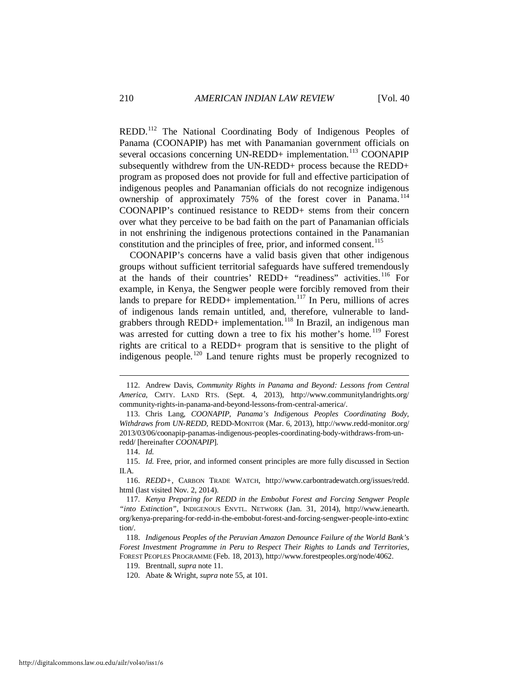<span id="page-18-10"></span><span id="page-18-9"></span>REDD.[112](#page-18-0) The National Coordinating Body of Indigenous Peoples of Panama (COONAPIP) has met with Panamanian government officials on several occasions concerning UN-REDD+ implementation.<sup>[113](#page-18-1)</sup> COONAPIP subsequently withdrew from the UN-REDD+ process because the REDD+ program as proposed does not provide for full and effective participation of indigenous peoples and Panamanian officials do not recognize indigenous ownership of approximately 75% of the forest cover in Panama.<sup>[114](#page-18-2)</sup> COONAPIP's continued resistance to REDD+ stems from their concern over what they perceive to be bad faith on the part of Panamanian officials in not enshrining the indigenous protections contained in the Panamanian constitution and the principles of free, prior, and informed consent.<sup>[115](#page-18-3)</sup>

COONAPIP's concerns have a valid basis given that other indigenous groups without sufficient territorial safeguards have suffered tremendously at the hands of their countries' REDD+ "readiness" activities.<sup>[116](#page-18-4)</sup> For example, in Kenya, the Sengwer people were forcibly removed from their lands to prepare for REDD+ implementation.<sup>[117](#page-18-5)</sup> In Peru, millions of acres of indigenous lands remain untitled, and, therefore, vulnerable to land-grabbers through REDD+ implementation.<sup>[118](#page-18-6)</sup> In Brazil, an indigenous man was arrested for cutting down a tree to fix his mother's home.<sup>[119](#page-18-7)</sup> Forest rights are critical to a REDD+ program that is sensitive to the plight of indigenous people.[120](#page-18-8) Land tenure rights must be properly recognized to

<span id="page-18-0"></span> <sup>112.</sup> Andrew Davis, *Community Rights in Panama and Beyond: Lessons from Central America*, CMTY. LAND RTS. (Sept. 4, 2013), http://www.communitylandrights.org/ community-rights-in-panama-and-beyond-lessons-from-central-america/.

<span id="page-18-1"></span> <sup>113.</sup> Chris Lang, *COONAPIP, Panama's Indigenous Peoples Coordinating Body, Withdraws from UN-REDD*, REDD-MONITOR (Mar. 6, 2013), http://www.redd-monitor.org/ 2013/03/06/coonapip-panamas-indigenous-peoples-coordinating-body-withdraws-from-unredd/ [hereinafter *COONAPIP*].

 <sup>114.</sup> *Id.*

<span id="page-18-3"></span><span id="page-18-2"></span> <sup>115.</sup> *Id.* Free, prior, and informed consent principles are more fully discussed in Section II.A.

<span id="page-18-4"></span> <sup>116.</sup> *REDD+*, CARBON TRADE WATCH, http://www.carbontradewatch.org/issues/redd. html (last visited Nov. 2, 2014).

<span id="page-18-5"></span> <sup>117.</sup> *Kenya Preparing for REDD in the Embobut Forest and Forcing Sengwer People "into Extinction"*, INDIGENOUS ENVTL. NETWORK (Jan. 31, 2014), http://www.ienearth. org/kenya-preparing-for-redd-in-the-embobut-forest-and-forcing-sengwer-people-into-extinc tion/.

<span id="page-18-8"></span><span id="page-18-7"></span><span id="page-18-6"></span> <sup>118.</sup> *Indigenous Peoples of the Peruvian Amazon Denounce Failure of the World Bank's Forest Investment Programme in Peru to Respect Their Rights to Lands and Territories*, FOREST PEOPLES PROGRAMME (Feb. 18, 2013), http://www.forestpeoples.org/node/4062.

 <sup>119.</sup> Brentnall, *supra* not[e 11.](#page-3-9)

 <sup>120.</sup> Abate & Wright, *supra* note [55,](#page-9-8) at 101.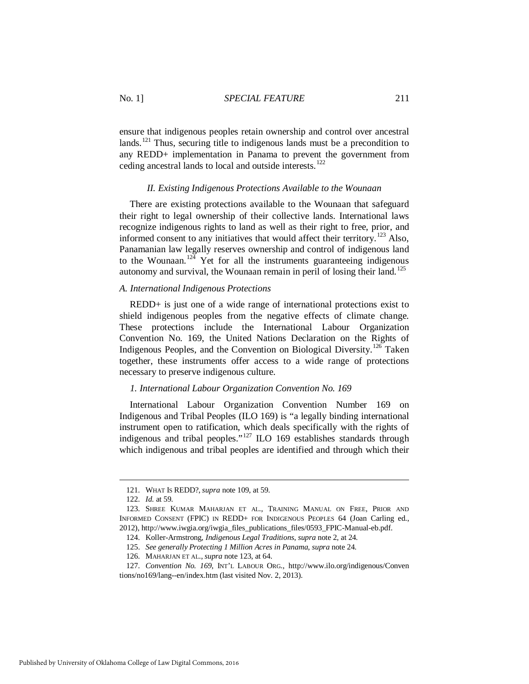ensure that indigenous peoples retain ownership and control over ancestral lands.<sup>[121](#page-19-4)</sup> Thus, securing title to indigenous lands must be a precondition to any REDD+ implementation in Panama to prevent the government from ceding ancestral lands to local and outside interests.[122](#page-19-5)

#### <span id="page-19-3"></span>*II. Existing Indigenous Protections Available to the Wounaan*

<span id="page-19-0"></span>There are existing protections available to the Wounaan that safeguard their right to legal ownership of their collective lands. International laws recognize indigenous rights to land as well as their right to free, prior, and informed consent to any initiatives that would affect their territory.<sup>[123](#page-19-6)</sup> Also, Panamanian law legally reserves ownership and control of indigenous land to the Wounaan.<sup>[124](#page-19-7)</sup> Yet for all the instruments guaranteeing indigenous autonomy and survival, the Wounaan remain in peril of losing their land.<sup>[125](#page-19-8)</sup>

#### <span id="page-19-1"></span>*A. International Indigenous Protections*

REDD+ is just one of a wide range of international protections exist to shield indigenous peoples from the negative effects of climate change. These protections include the International Labour Organization Convention No. 169, the United Nations Declaration on the Rights of Indigenous Peoples, and the Convention on Biological Diversity.[126](#page-19-9) Taken together, these instruments offer access to a wide range of protections necessary to preserve indigenous culture.

#### <span id="page-19-11"></span><span id="page-19-2"></span>*1. International Labour Organization Convention No. 169*

International Labour Organization Convention Number 169 on Indigenous and Tribal Peoples (ILO 169) is "a legally binding international instrument open to ratification, which deals specifically with the rights of indigenous and tribal peoples."<sup>[127](#page-19-10)</sup> ILO 169 establishes standards through which indigenous and tribal peoples are identified and through which their

 <sup>121.</sup> WHAT IS REDD?, *supra* note [109,](#page-17-0) at 59.

 <sup>122.</sup> *Id.* at 59.

<span id="page-19-7"></span><span id="page-19-6"></span><span id="page-19-5"></span><span id="page-19-4"></span> <sup>123.</sup> SHREE KUMAR MAHARJAN ET AL., TRAINING MANUAL ON FREE, PRIOR AND INFORMED CONSENT (FPIC) IN REDD+ FOR INDIGENOUS PEOPLES 64 (Joan Carling ed., 2012), http://www.iwgia.org/iwgia\_files\_publications\_files/0593\_FPIC-Manual-eb.pdf.

 <sup>124.</sup> Koller-Armstrong, *Indigenous Legal Traditions*, *supra* note 2, at 24.

 <sup>125.</sup> *See generally Protecting 1 Million Acres in Panama*, *supra* not[e 24.](#page-5-5) 

 <sup>126.</sup> MAHARJAN ET AL., *supra* not[e 123,](#page-19-3) at 64.

<span id="page-19-10"></span><span id="page-19-9"></span><span id="page-19-8"></span> <sup>127.</sup> *Convention No. 169*, INT'L LABOUR ORG., http://www.ilo.org/indigenous/Conven tions/no169/lang--en/index.htm (last visited Nov. 2, 2013).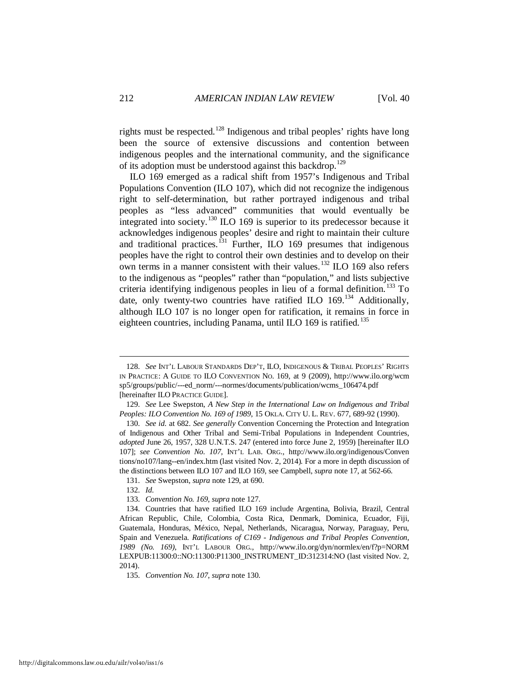<span id="page-20-10"></span>rights must be respected.<sup>[128](#page-20-2)</sup> Indigenous and tribal peoples' rights have long been the source of extensive discussions and contention between indigenous peoples and the international community, and the significance of its adoption must be understood against this backdrop.<sup>[129](#page-20-3)</sup>

<span id="page-20-1"></span><span id="page-20-0"></span>ILO 169 emerged as a radical shift from 1957's Indigenous and Tribal Populations Convention (ILO 107), which did not recognize the indigenous right to self-determination, but rather portrayed indigenous and tribal peoples as "less advanced" communities that would eventually be integrated into society.<sup>[130](#page-20-4)</sup> ILO 169 is superior to its predecessor because it acknowledges indigenous peoples' desire and right to maintain their culture and traditional practices.<sup>[131](#page-20-5)</sup> Further, ILO 169 presumes that indigenous peoples have the right to control their own destinies and to develop on their own terms in a manner consistent with their values.<sup>[132](#page-20-6)</sup> ILO 169 also refers to the indigenous as "peoples" rather than "population," and lists subjective criteria identifying indigenous peoples in lieu of a formal definition.<sup>[133](#page-20-7)</sup> To date, only twenty-two countries have ratified ILO 169.<sup>[134](#page-20-8)</sup> Additionally, although ILO 107 is no longer open for ratification, it remains in force in eighteen countries, including Panama, until ILO 169 is ratified.<sup>[135](#page-20-9)</sup>

<span id="page-20-2"></span> <sup>128.</sup> *See* INT'L LABOUR STANDARDS DEP'T, ILO, INDIGENOUS & TRIBAL PEOPLES' RIGHTS IN PRACTICE: A GUIDE TO ILO CONVENTION NO. 169, at 9 (2009), http://www.ilo.org/wcm sp5/groups/public/---ed\_norm/---normes/documents/publication/wcms\_106474.pdf [hereinafter ILO PRACTICE GUIDE].

<span id="page-20-3"></span> <sup>129.</sup> *See* Lee Swepston, *A New Step in the International Law on Indigenous and Tribal Peoples: ILO Convention No. 169 of 1989*, 15 OKLA. CITY U. L. REV. 677, 689-92 (1990).

<span id="page-20-4"></span> <sup>130.</sup> *See id.* at 682. *See generally* Convention Concerning the Protection and Integration of Indigenous and Other Tribal and Semi-Tribal Populations in Independent Countries, *adopted* June 26, 1957, 328 U.N.T.S. 247 (entered into force June 2, 1959) [hereinafter ILO 107]; *see Convention No. 107*, INT'L LAB. ORG., http://www.ilo.org/indigenous/Conven tions/no107/lang--en/index.htm (last visited Nov. 2, 2014)*.* For a more in depth discussion of the distinctions between ILO 107 and ILO 169, see Campbell, *supra* not[e 17,](#page-4-9) at 562-66.

 <sup>131.</sup> *See* Swepston, *supra* not[e 129,](#page-20-0) at 690.

 <sup>132.</sup> *Id.*

 <sup>133.</sup> *Convention No. 169*, *supra* not[e 127.](#page-19-11)

<span id="page-20-8"></span><span id="page-20-7"></span><span id="page-20-6"></span><span id="page-20-5"></span> <sup>134.</sup> Countries that have ratified ILO 169 include Argentina, Bolivia, Brazil, Central African Republic, Chile, Colombia, Costa Rica, Denmark, Dominica, Ecuador, Fiji, Guatemala, Honduras, México, Nepal, Netherlands, Nicaragua, Norway, Paraguay, Peru, Spain and Venezuela. *Ratifications of C169 - Indigenous and Tribal Peoples Convention, 1989 (No. 169)*, INT'L LABOUR ORG., http://www.ilo.org/dyn/normlex/en/f?p=NORM LEXPUB:11300:0::NO:11300:P11300\_INSTRUMENT\_ID:312314:NO (last visited Nov. 2, 2014).

<span id="page-20-9"></span> <sup>135.</sup> *Convention No. 107*, *supra* not[e 130.](#page-20-1)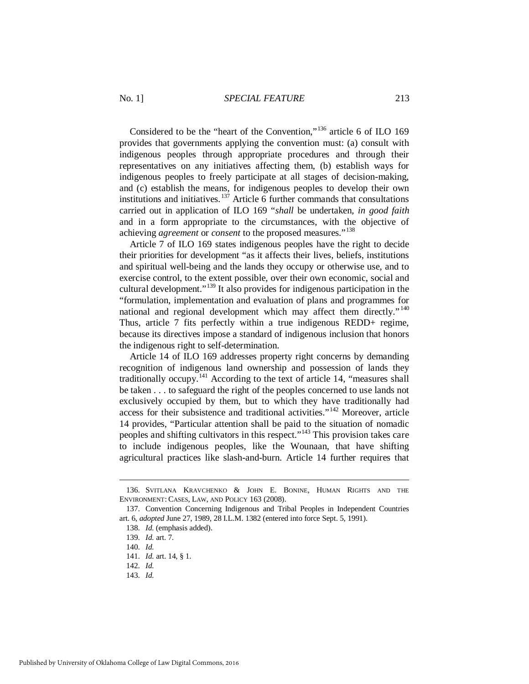Considered to be the "heart of the Convention,"<sup>[136](#page-21-0)</sup> article 6 of ILO 169 provides that governments applying the convention must: (a) consult with indigenous peoples through appropriate procedures and through their representatives on any initiatives affecting them, (b) establish ways for indigenous peoples to freely participate at all stages of decision-making, and (c) establish the means, for indigenous peoples to develop their own institutions and initiatives.<sup>[137](#page-21-1)</sup> Article 6 further commands that consultations carried out in application of ILO 169 "*shall* be undertaken, *in good faith* and in a form appropriate to the circumstances, with the objective of achieving *agreement* or *consent* to the proposed measures."[138](#page-21-2) 

<span id="page-21-8"></span>Article 7 of ILO 169 states indigenous peoples have the right to decide their priorities for development "as it affects their lives, beliefs, institutions and spiritual well-being and the lands they occupy or otherwise use, and to exercise control, to the extent possible, over their own economic, social and cultural development."[139](#page-21-3) It also provides for indigenous participation in the "formulation, implementation and evaluation of plans and programmes for national and regional development which may affect them directly."<sup>[140](#page-21-4)</sup> Thus, article 7 fits perfectly within a true indigenous REDD+ regime, because its directives impose a standard of indigenous inclusion that honors the indigenous right to self-determination.

Article 14 of ILO 169 addresses property right concerns by demanding recognition of indigenous land ownership and possession of lands they traditionally occupy.<sup>[141](#page-21-5)</sup> According to the text of article 14, "measures shall be taken . . . to safeguard the right of the peoples concerned to use lands not exclusively occupied by them, but to which they have traditionally had access for their subsistence and traditional activities."[142](#page-21-6) Moreover, article 14 provides, "Particular attention shall be paid to the situation of nomadic peoples and shifting cultivators in this respect."[143](#page-21-7) This provision takes care to include indigenous peoples, like the Wounaan, that have shifting agricultural practices like slash-and-burn. Article 14 further requires that

<span id="page-21-0"></span> <sup>136.</sup> SVITLANA KRAVCHENKO & JOHN E. BONINE, HUMAN RIGHTS AND THE ENVIRONMENT: CASES, LAW, AND POLICY 163 (2008).

<span id="page-21-4"></span><span id="page-21-3"></span><span id="page-21-2"></span><span id="page-21-1"></span> <sup>137.</sup> Convention Concerning Indigenous and Tribal Peoples in Independent Countries art. 6, *adopted* June 27, 1989, 28 I.L.M. 1382 (entered into force Sept. 5, 1991).

 <sup>138.</sup> *Id.* (emphasis added).

 <sup>139.</sup> *Id.* art. 7.

 <sup>140.</sup> *Id.*

<span id="page-21-5"></span> <sup>141.</sup> *Id.* art. 14, § 1.

 <sup>142.</sup> *Id.*

<span id="page-21-7"></span><span id="page-21-6"></span> <sup>143.</sup> *Id.*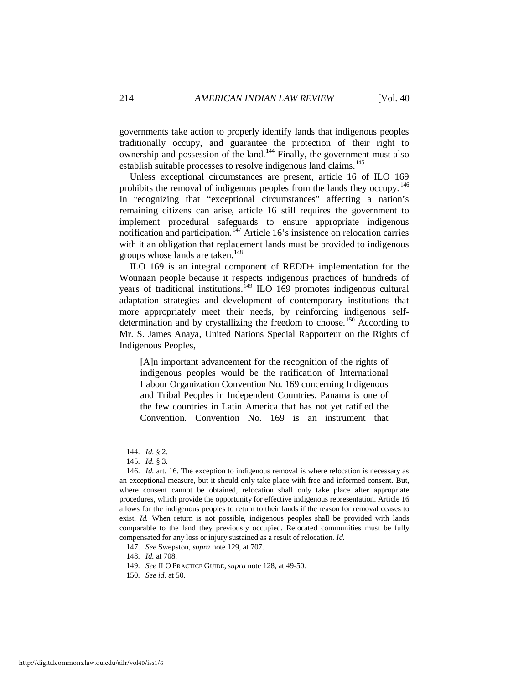governments take action to properly identify lands that indigenous peoples traditionally occupy, and guarantee the protection of their right to ownership and possession of the land.<sup>[144](#page-22-0)</sup> Finally, the government must also establish suitable processes to resolve indigenous land claims.<sup>145</sup>

Unless exceptional circumstances are present, article 16 of ILO 169 prohibits the removal of indigenous peoples from the lands they occupy.<sup>[146](#page-22-2)</sup> In recognizing that "exceptional circumstances" affecting a nation's remaining citizens can arise, article 16 still requires the government to implement procedural safeguards to ensure appropriate indigenous notification and participation.<sup>[147](#page-22-3)</sup> Article 16's insistence on relocation carries with it an obligation that replacement lands must be provided to indigenous groups whose lands are taken.<sup>[148](#page-22-4)</sup>

ILO 169 is an integral component of REDD+ implementation for the Wounaan people because it respects indigenous practices of hundreds of years of traditional institutions.<sup>[149](#page-22-5)</sup> ILO 169 promotes indigenous cultural adaptation strategies and development of contemporary institutions that more appropriately meet their needs, by reinforcing indigenous self-determination and by crystallizing the freedom to choose.<sup>[150](#page-22-6)</sup> According to Mr. S. James Anaya, United Nations Special Rapporteur on the Rights of Indigenous Peoples,

[A]n important advancement for the recognition of the rights of indigenous peoples would be the ratification of International Labour Organization Convention No. 169 concerning Indigenous and Tribal Peoples in Independent Countries. Panama is one of the few countries in Latin America that has not yet ratified the Convention. Convention No. 169 is an instrument that

-

<span id="page-22-4"></span>148. *Id.* at 708.

 <sup>144.</sup> *Id.* § 2.

 <sup>145.</sup> *Id.* § 3.

<span id="page-22-2"></span><span id="page-22-1"></span><span id="page-22-0"></span> <sup>146.</sup> *Id.* art. 16. The exception to indigenous removal is where relocation is necessary as an exceptional measure, but it should only take place with free and informed consent. But, where consent cannot be obtained, relocation shall only take place after appropriate procedures, which provide the opportunity for effective indigenous representation. Article 16 allows for the indigenous peoples to return to their lands if the reason for removal ceases to exist. *Id.* When return is not possible, indigenous peoples shall be provided with lands comparable to the land they previously occupied. Relocated communities must be fully compensated for any loss or injury sustained as a result of relocation. *Id.*

<span id="page-22-3"></span> <sup>147.</sup> *See* Swepston, *supra* not[e 129,](#page-20-0) at 707.

 <sup>149.</sup> *See* ILO PRACTICE GUIDE, *supra* not[e 128,](#page-20-10) at 49-50.

<span id="page-22-6"></span><span id="page-22-5"></span> <sup>150.</sup> *See id.* at 50.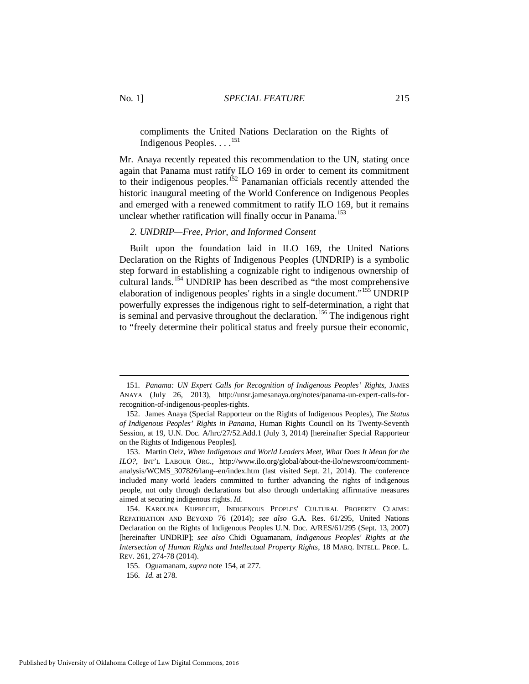<span id="page-23-8"></span>compliments the United Nations Declaration on the Rights of Indigenous Peoples.  $\dots$ <sup>[151](#page-23-2)</sup>

Mr. Anaya recently repeated this recommendation to the UN, stating once again that Panama must ratify ILO 169 in order to cement its commitment to their indigenous peoples.<sup>[152](#page-23-3)</sup> Panamanian officials recently attended the historic inaugural meeting of the World Conference on Indigenous Peoples and emerged with a renewed commitment to ratify ILO 169, but it remains unclear whether ratification will finally occur in Panama.<sup>153</sup>

#### <span id="page-23-0"></span>*2. UNDRIP—Free, Prior, and Informed Consent*

<span id="page-23-1"></span>Built upon the foundation laid in ILO 169, the United Nations Declaration on the Rights of Indigenous Peoples (UNDRIP) is a symbolic step forward in establishing a cognizable right to indigenous ownership of cultural lands.<sup>[154](#page-23-5)</sup> UNDRIP has been described as "the most comprehensive elaboration of indigenous peoples' rights in a single document."<sup>[155](#page-23-6)</sup> UNDRIP powerfully expresses the indigenous right to self-determination, a right that is seminal and pervasive throughout the declaration.<sup>[156](#page-23-7)</sup> The indigenous right to "freely determine their political status and freely pursue their economic,

<u>.</u>

<span id="page-23-7"></span><span id="page-23-6"></span>Published by University of Oklahoma College of Law Digital Commons, 2016

<span id="page-23-2"></span> <sup>151.</sup> *Panama: UN Expert Calls for Recognition of Indigenous Peoples' Rights*, JAMES ANAYA (July 26, 2013), http://unsr.jamesanaya.org/notes/panama-un-expert-calls-forrecognition-of-indigenous-peoples-rights.

<span id="page-23-3"></span> <sup>152.</sup> James Anaya (Special Rapporteur on the Rights of Indigenous Peoples), *The Status of Indigenous Peoples' Rights in Panama*, Human Rights Council on Its Twenty-Seventh Session, at 19, U.N. Doc. A/hrc/27/52.Add.1 (July 3, 2014) [hereinafter Special Rapporteur on the Rights of Indigenous Peoples].

<span id="page-23-4"></span> <sup>153.</sup> Martin Oelz, *When Indigenous and World Leaders Meet, What Does It Mean for the ILO?*, INT'L LABOUR ORG., http://www.ilo.org/global/about-the-ilo/newsroom/commentanalysis/WCMS\_307826/lang--en/index.htm (last visited Sept. 21, 2014). The conference included many world leaders committed to further advancing the rights of indigenous people, not only through declarations but also through undertaking affirmative measures aimed at securing indigenous rights. *Id.*

<span id="page-23-5"></span> <sup>154.</sup> KAROLINA KUPRECHT, INDIGENOUS PEOPLES' CULTURAL PROPERTY CLAIMS: REPATRIATION AND BEYOND 76 (2014); *see also* G.A. Res. 61/295, United Nations Declaration on the Rights of Indigenous Peoples U.N. Doc. A/RES/61/295 (Sept. 13, 2007) [hereinafter UNDRIP]; *see also* Chidi Oguamanam, *Indigenous Peoples' Rights at the Intersection of Human Rights and Intellectual Property Rights*, 18 MARQ. INTELL. PROP. L. REV. 261, 274-78 (2014).

 <sup>155.</sup> Oguamanam, *supra* not[e 154,](#page-23-1) at 277.

 <sup>156.</sup> *Id.* at 278.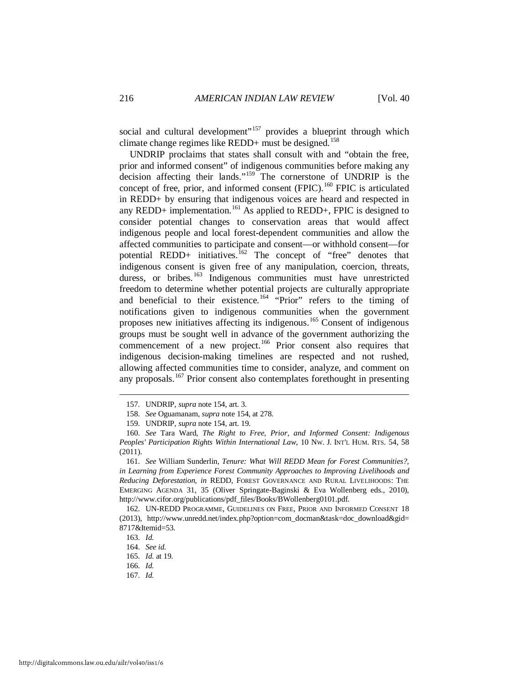social and cultural development"<sup>[157](#page-24-0)</sup> provides a blueprint through which climate change regimes like REDD+ must be designed.<sup>[158](#page-24-1)</sup>

<span id="page-24-11"></span>UNDRIP proclaims that states shall consult with and "obtain the free, prior and informed consent" of indigenous communities before making any decision affecting their lands."[159](#page-24-2) The cornerstone of UNDRIP is the concept of free, prior, and informed consent  $(FPIC)$ .<sup>[160](#page-24-3)</sup> FPIC is articulated in REDD+ by ensuring that indigenous voices are heard and respected in any REDD+ implementation.<sup>[161](#page-24-4)</sup> As applied to REDD+, FPIC is designed to consider potential changes to conservation areas that would affect indigenous people and local forest-dependent communities and allow the affected communities to participate and consent—or withhold consent—for potential REDD+ initiatives.<sup>[162](#page-24-5)</sup> The concept of "free" denotes that indigenous consent is given free of any manipulation, coercion, threats, duress, or bribes.<sup>[163](#page-24-6)</sup> Indigenous communities must have unrestricted freedom to determine whether potential projects are culturally appropriate and beneficial to their existence.<sup>[164](#page-24-7)</sup> "Prior" refers to the timing of notifications given to indigenous communities when the government proposes new initiatives affecting its indigenous.<sup>[165](#page-24-8)</sup> Consent of indigenous groups must be sought well in advance of the government authorizing the commencement of a new project.<sup>[166](#page-24-9)</sup> Prior consent also requires that indigenous decision-making timelines are respected and not rushed, allowing affected communities time to consider, analyze, and comment on any proposals.<sup>[167](#page-24-10)</sup> Prior consent also contemplates forethought in presenting

 <sup>157.</sup> UNDRIP, *supra* not[e 154,](#page-23-1) art. 3.

 <sup>158.</sup> *See* Oguamanam, *supra* not[e 154,](#page-23-1) at 278.

 <sup>159.</sup> UNDRIP, *supra* not[e 154,](#page-23-1) art. 19.

<span id="page-24-3"></span><span id="page-24-2"></span><span id="page-24-1"></span><span id="page-24-0"></span> <sup>160.</sup> *See* Tara Ward, *The Right to Free, Prior, and Informed Consent: Indigenous Peoples' Participation Rights Within International Law*, 10 NW. J. INT'L HUM. RTS. 54, 58 (2011).

<span id="page-24-4"></span> <sup>161.</sup> *See* William Sunderlin, *Tenure: What Will REDD Mean for Forest Communities?*, *in Learning from Experience Forest Community Approaches to Improving Livelihoods and Reducing Deforestation*, *in* REDD, FOREST GOVERNANCE AND RURAL LIVELIHOODS: THE EMERGING AGENDA 31, 35 (Oliver Springate-Baginski & Eva Wollenberg eds., 2010), http://www.cifor.org/publications/pdf\_files/Books/BWollenberg0101.pdf.

<span id="page-24-7"></span><span id="page-24-6"></span><span id="page-24-5"></span> <sup>162.</sup> UN-REDD PROGRAMME, GUIDELINES ON FREE, PRIOR AND INFORMED CONSENT 18 (2013), http://www.unredd.net/index.php?option=com\_docman&task=doc\_download&gid= 8717&Itemid=53.

 <sup>163.</sup> *Id.*

 <sup>164.</sup> *See id.*

 <sup>165.</sup> *Id.* at 19.

<span id="page-24-10"></span><span id="page-24-9"></span><span id="page-24-8"></span> <sup>166.</sup> *Id.*

 <sup>167.</sup> *Id.*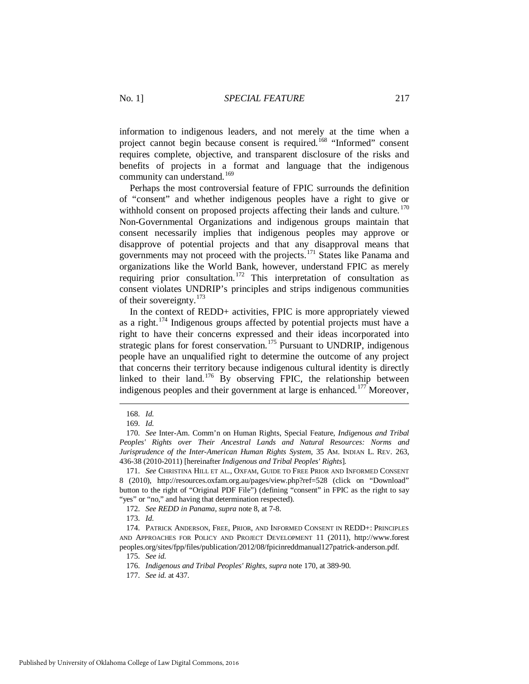information to indigenous leaders, and not merely at the time when a project cannot begin because consent is required.<sup>[168](#page-25-1)</sup> "Informed" consent requires complete, objective, and transparent disclosure of the risks and benefits of projects in a format and language that the indigenous community can understand.<sup>169</sup>

<span id="page-25-0"></span>Perhaps the most controversial feature of FPIC surrounds the definition of "consent" and whether indigenous peoples have a right to give or withhold consent on proposed projects affecting their lands and culture.<sup>[170](#page-25-3)</sup> Non-Governmental Organizations and indigenous groups maintain that consent necessarily implies that indigenous peoples may approve or disapprove of potential projects and that any disapproval means that governments may not proceed with the projects.<sup>[171](#page-25-4)</sup> States like Panama and organizations like the World Bank, however, understand FPIC as merely requiring prior consultation.<sup>[172](#page-25-5)</sup> This interpretation of consultation as consent violates UNDRIP's principles and strips indigenous communities of their sovereignty.[173](#page-25-6) 

<span id="page-25-11"></span>In the context of REDD+ activities, FPIC is more appropriately viewed as a right.[174](#page-25-7) Indigenous groups affected by potential projects must have a right to have their concerns expressed and their ideas incorporated into strategic plans for forest conservation.<sup>[175](#page-25-8)</sup> Pursuant to UNDRIP, indigenous people have an unqualified right to determine the outcome of any project that concerns their territory because indigenous cultural identity is directly linked to their land.<sup>[176](#page-25-9)</sup> By observing FPIC, the relationship between indigenous peoples and their government at large is enhanced.<sup>[177](#page-25-10)</sup> Moreover,

 <sup>168.</sup> *Id.*

 <sup>169.</sup> *Id.*

<span id="page-25-3"></span><span id="page-25-2"></span><span id="page-25-1"></span> <sup>170.</sup> *See* Inter-Am. Comm'n on Human Rights, Special Feature, *Indigenous and Tribal Peoples' Rights over Their Ancestral Lands and Natural Resources: Norms and Jurisprudence of the Inter-American Human Rights System*, 35 AM. INDIAN L. REV. 263, 436-38 (2010-2011) [hereinafter *Indigenous and Tribal Peoples' Rights*].

<span id="page-25-4"></span> <sup>171.</sup> *See* CHRISTINA HILL ET AL., OXFAM, GUIDE TO FREE PRIOR AND INFORMED CONSENT 8 (2010), http://resources.oxfam.org.au/pages/view.php?ref=528 (click on "Download" button to the right of "Original PDF File") (defining "consent" in FPIC as the right to say "yes" or "no," and having that determination respected).

 <sup>172.</sup> *See REDD in Panama*, *supra* not[e 8,](#page-3-8) at 7-8.

 <sup>173.</sup> *Id.*

<span id="page-25-9"></span><span id="page-25-8"></span><span id="page-25-7"></span><span id="page-25-6"></span><span id="page-25-5"></span> <sup>174.</sup> PATRICK ANDERSON, FREE, PRIOR, AND INFORMED CONSENT IN REDD+: PRINCIPLES AND APPROACHES FOR POLICY AND PROJECT DEVELOPMENT 11 (2011), http://www.forest peoples.org/sites/fpp/files/publication/2012/08/fpicinreddmanual127patrick-anderson.pdf.

 <sup>175.</sup> *See id.*

 <sup>176.</sup> *Indigenous and Tribal Peoples' Rights*, *supra* note [170,](#page-25-0) at 389-90.

<span id="page-25-10"></span> <sup>177.</sup> *See id.* at 437.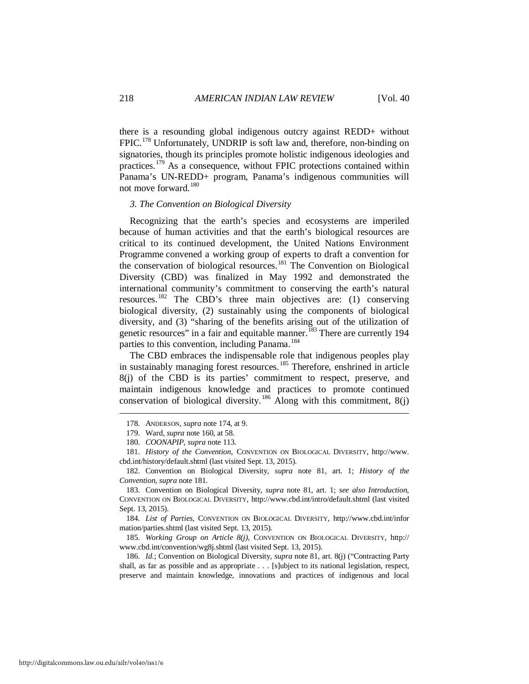there is a resounding global indigenous outcry against REDD+ without FPIC.<sup>[178](#page-26-2)</sup> Unfortunately, UNDRIP is soft law and, therefore, non-binding on signatories, though its principles promote holistic indigenous ideologies and practices.[179](#page-26-3) As a consequence, without FPIC protections contained within Panama's UN-REDD+ program, Panama's indigenous communities will not move forward. [180](#page-26-4)

#### <span id="page-26-1"></span><span id="page-26-0"></span>*3. The Convention on Biological Diversity*

Recognizing that the earth's species and ecosystems are imperiled because of human activities and that the earth's biological resources are critical to its continued development, the United Nations Environment Programme convened a working group of experts to draft a convention for the conservation of biological resources.<sup>[181](#page-26-5)</sup> The Convention on Biological Diversity (CBD) was finalized in May 1992 and demonstrated the international community's commitment to conserving the earth's natural resources.[182](#page-26-6) The CBD's three main objectives are: (1) conserving biological diversity, (2) sustainably using the components of biological diversity, and (3) "sharing of the benefits arising out of the utilization of genetic resources" in a fair and equitable manner.<sup>[183](#page-26-7)</sup> There are currently 194 parties to this convention, including Panama.<sup>[184](#page-26-8)</sup>

The CBD embraces the indispensable role that indigenous peoples play in sustainably managing forest resources.<sup>[185](#page-26-9)</sup> Therefore, enshrined in article 8(j) of the CBD is its parties' commitment to respect, preserve, and maintain indigenous knowledge and practices to promote continued conservation of biological diversity.<sup>[186](#page-26-10)</sup> Along with this commitment, 8(j)

<span id="page-26-2"></span><u>.</u>

<span id="page-26-8"></span> 184. *List of Parties*, CONVENTION ON BIOLOGICAL DIVERSITY, http://www.cbd.int/infor mation/parties.shtml (last visited Sept. 13, 2015).

<span id="page-26-9"></span> 185. *Working Group on Article 8(j)*, CONVENTION ON BIOLOGICAL DIVERSITY, http:// www.cbd.int/convention/wg8j.shtml (last visited Sept. 13, 2015).

<span id="page-26-10"></span> 186. *Id.*; Convention on Biological Diversity, *supra* note [81,](#page-13-9) art. 8(j) ("Contracting Party shall, as far as possible and as appropriate . . . [s]ubject to its national legislation, respect, preserve and maintain knowledge, innovations and practices of indigenous and local

 <sup>178.</sup> ANDERSON, *supra* not[e 174,](#page-25-11) at 9.

 <sup>179.</sup> Ward, *supra* not[e 160,](#page-24-11) at 58.

 <sup>180.</sup> *COONAPIP*, *supra* note [113.](#page-18-9) 

<span id="page-26-5"></span><span id="page-26-4"></span><span id="page-26-3"></span> <sup>181.</sup> *History of the Convention*, CONVENTION ON BIOLOGICAL DIVERSITY, http://www. cbd.int/history/default.shtml (last visited Sept. 13, 2015).

<span id="page-26-6"></span> <sup>182.</sup> Convention on Biological Diversity, *supra* note [81,](#page-13-9) art. 1; *History of the Convention*, *supra* not[e 181.](#page-26-1)

<span id="page-26-7"></span> <sup>183.</sup> Convention on Biological Diversity, *supra* note [81,](#page-13-9) art. 1; *see also Introduction*, CONVENTION ON BIOLOGICAL DIVERSITY, http://www.cbd.int/intro/default.shtml (last visited Sept. 13, 2015).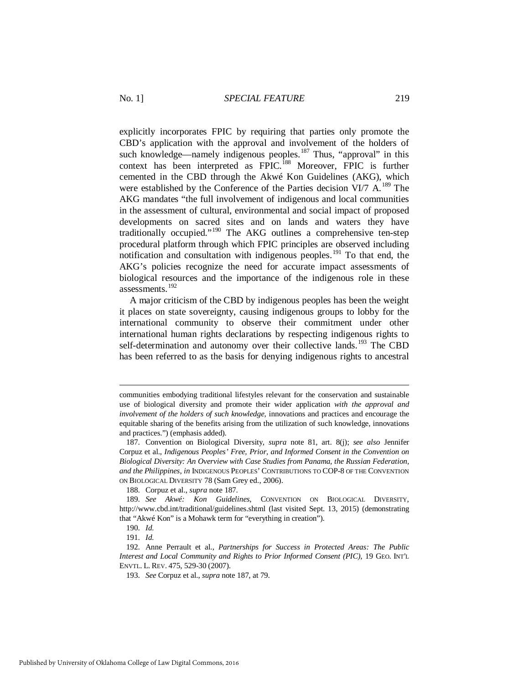<span id="page-27-0"></span>explicitly incorporates FPIC by requiring that parties only promote the CBD's application with the approval and involvement of the holders of such knowledge—namely indigenous peoples.<sup>[187](#page-27-1)</sup> Thus, "approval" in this context has been interpreted as FPIC.<sup>[188](#page-27-2)</sup> Moreover, FPIC is further cemented in the CBD through the Akwé Kon Guidelines (AKG), which were established by the Conference of the Parties decision VI/7  $A$ <sup>[189](#page-27-3)</sup>. The AKG mandates "the full involvement of indigenous and local communities in the assessment of cultural, environmental and social impact of proposed developments on sacred sites and on lands and waters they have traditionally occupied."[190](#page-27-4) The AKG outlines a comprehensive ten-step procedural platform through which FPIC principles are observed including notification and consultation with indigenous peoples.<sup>[191](#page-27-5)</sup> To that end, the AKG's policies recognize the need for accurate impact assessments of biological resources and the importance of the indigenous role in these assessments.[192](#page-27-6)

A major criticism of the CBD by indigenous peoples has been the weight it places on state sovereignty, causing indigenous groups to lobby for the international community to observe their commitment under other international human rights declarations by respecting indigenous rights to self-determination and autonomy over their collective lands.<sup>[193](#page-27-7)</sup> The CBD has been referred to as the basis for denying indigenous rights to ancestral

188. Corpuz et al., *supra* not[e 187.](#page-27-0)

communities embodying traditional lifestyles relevant for the conservation and sustainable use of biological diversity and promote their wider application *with the approval and involvement of the holders of such knowledge*, innovations and practices and encourage the equitable sharing of the benefits arising from the utilization of such knowledge, innovations and practices.") (emphasis added).

<span id="page-27-1"></span> <sup>187.</sup> Convention on Biological Diversity, *supra* note [81,](#page-13-9) art. 8(j); *see also* Jennifer Corpuz et al., *Indigenous Peoples' Free, Prior, and Informed Consent in the Convention on Biological Diversity: An Overview with Case Studies from Panama, the Russian Federation, and the Philippines*, *in* INDIGENOUS PEOPLES' CONTRIBUTIONS TO COP-8 OF THE CONVENTION ON BIOLOGICAL DIVERSITY 78 (Sam Grey ed., 2006).

<span id="page-27-3"></span><span id="page-27-2"></span> <sup>189.</sup> *See Akwé: Kon Guidelines*, CONVENTION ON BIOLOGICAL DIVERSITY, http://www.cbd.int/traditional/guidelines.shtml (last visited Sept. 13, 2015) (demonstrating that "Akwé Kon" is a Mohawk term for "everything in creation").

 <sup>190.</sup> *Id.*

 <sup>191.</sup> *Id.*

<span id="page-27-7"></span><span id="page-27-6"></span><span id="page-27-5"></span><span id="page-27-4"></span> <sup>192.</sup> Anne Perrault et al., *Partnerships for Success in Protected Areas: The Public Interest and Local Community and Rights to Prior Informed Consent (PIC)*, 19 GEO. INT'L ENVTL. L. REV. 475, 529-30 (2007).

 <sup>193.</sup> *See* Corpuz et al., *supra* not[e 187,](#page-27-0) at 79.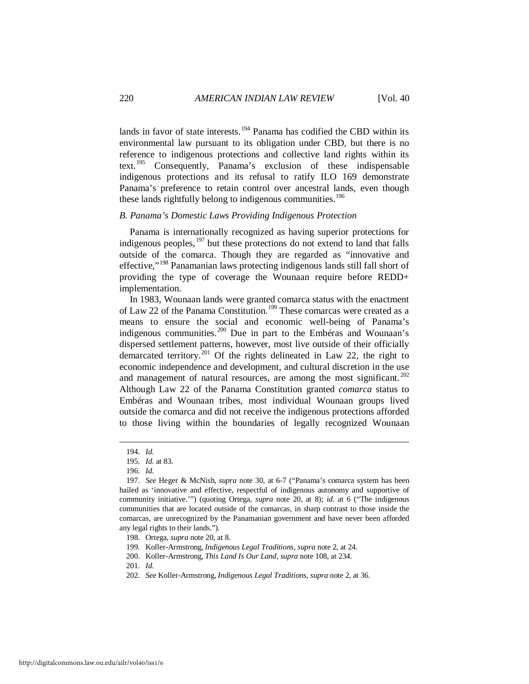lands in favor of state interests.<sup>[194](#page-28-1)</sup> Panama has codified the CBD within its environmental law pursuant to its obligation under CBD, but there is no reference to indigenous protections and collective land rights within its text.[195](#page-28-2) Consequently, Panama's exclusion of these indispensable indigenous protections and its refusal to ratify ILO 169 demonstrate Panama's preference to retain control over ancestral lands, even though these lands rightfully belong to indigenous communities.<sup>[196](#page-28-3)</sup>

#### <span id="page-28-0"></span>*B. Panama's Domestic Laws Providing Indigenous Protection*

Panama is internationally recognized as having superior protections for indigenous peoples, $197$  but these protections do not extend to land that falls outside of the comarca. Though they are regarded as "innovative and effective,"[198](#page-28-5) Panamanian laws protecting indigenous lands still fall short of providing the type of coverage the Wounaan require before REDD+ implementation.

In 1983, Wounaan lands were granted comarca status with the enactment of Law 22 of the Panama Constitution.<sup>[199](#page-28-6)</sup> These comarcas were created as a means to ensure the social and economic well-being of Panama's indigenous communities.[200](#page-28-7) Due in part to the Embéras and Wounaan's dispersed settlement patterns, however, most live outside of their officially demarcated territory.<sup>[201](#page-28-8)</sup> Of the rights delineated in Law 22, the right to economic independence and development, and cultural discretion in the use and management of natural resources, are among the most significant.<sup>[202](#page-28-9)</sup> Although Law 22 of the Panama Constitution granted *comarca* status to Embéras and Wounaan tribes, most individual Wounaan groups lived outside the comarca and did not receive the indigenous protections afforded to those living within the boundaries of legally recognized Wounaan

<span id="page-28-1"></span>-

<span id="page-28-9"></span>202. *See* Koller-Armstrong, *Indigenous Legal Traditions*, *supra* not[e 2,](#page-2-7) at 36.

 <sup>194.</sup> *Id.*

 <sup>195.</sup> *Id.* at 83.

 <sup>196.</sup> *Id.*

<span id="page-28-4"></span><span id="page-28-3"></span><span id="page-28-2"></span> <sup>197.</sup> *See* Heger & McNish, *supra* note [30,](#page-6-8) at 6-7 ("Panama's comarca system has been hailed as 'innovative and effective, respectful of indigenous autonomy and supportive of community initiative.'") (quoting Ortega, *supra* note [20,](#page-4-10) at 8); *id.* at 6 ("The indigenous communities that are located outside of the comarcas, in sharp contrast to those inside the comarcas, are unrecognized by the Panamanian government and have never been afforded any legal rights to their lands.").

<span id="page-28-5"></span> <sup>198.</sup> Ortega, *supra* note [20,](#page-4-10) at 8.

 <sup>199.</sup> Koller-Armstrong, *Indigenous Legal Traditions*, *supra* not[e 2,](#page-2-7) at 24.

<span id="page-28-7"></span><span id="page-28-6"></span> <sup>200.</sup> Koller-Armstrong, *This Land Is Our Land*, *supra* note [108,](#page-17-7) at 234.

<span id="page-28-8"></span> <sup>201.</sup> *Id.*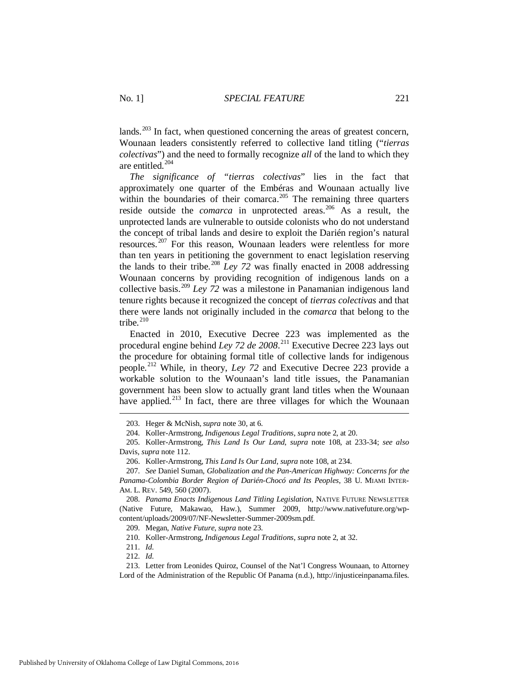lands.<sup> $203$ </sup> In fact, when questioned concerning the areas of greatest concern, Wounaan leaders consistently referred to collective land titling ("*tierras colectivas*") and the need to formally recognize *all* of the land to which they are entitled.<sup>204</sup>

*The significance of "tierras colectivas*" lies in the fact that approximately one quarter of the Embéras and Wounaan actually live within the boundaries of their comarca.<sup>[205](#page-29-2)</sup> The remaining three quarters reside outside the *comarca* in unprotected areas.<sup>[206](#page-29-3)</sup> As a result, the unprotected lands are vulnerable to outside colonists who do not understand the concept of tribal lands and desire to exploit the Darién region's natural resources.<sup>[207](#page-29-4)</sup> For this reason, Wounaan leaders were relentless for more than ten years in petitioning the government to enact legislation reserving the lands to their tribe.<sup>[208](#page-29-5)</sup> *Ley 72* was finally enacted in 2008 addressing Wounaan concerns by providing recognition of indigenous lands on a collective basis.[209](#page-29-6) *Ley 72* was a milestone in Panamanian indigenous land tenure rights because it recognized the concept of *tierras colectivas* and that there were lands not originally included in the *comarca* that belong to the tribe.<sup>[210](#page-29-7)</sup>

Enacted in 2010, Executive Decree 223 was implemented as the procedural engine behind *Ley 72 de 2008*. [211](#page-29-8) Executive Decree 223 lays out the procedure for obtaining formal title of collective lands for indigenous people.[212](#page-29-9) While, in theory, *Ley 72* and Executive Decree 223 provide a workable solution to the Wounaan's land title issues, the Panamanian government has been slow to actually grant land titles when the Wounaan have applied.<sup>[213](#page-29-10)</sup> In fact, there are three villages for which the Wounaan

209. Megan, *Native Future*, *supra* not[e 23.](#page-4-11)

<span id="page-29-11"></span> <sup>203.</sup> Heger & McNish, *supra* not[e 30,](#page-6-8) at 6.

 <sup>204.</sup> Koller-Armstrong, *Indigenous Legal Traditions*, *supra* not[e 2,](#page-2-7) at 20.

<span id="page-29-2"></span><span id="page-29-1"></span><span id="page-29-0"></span> <sup>205.</sup> Koller-Armstrong, *This Land Is Our Land*, *supra* note [108,](#page-17-7) at 233-34; *see also* Davis, *supra* not[e 112.](#page-18-10)

 <sup>206.</sup> Koller-Armstrong, *This Land Is Our Land*, *supra* note [108,](#page-17-7) at 234.

<span id="page-29-4"></span><span id="page-29-3"></span> <sup>207.</sup> *See* Daniel Suman, *Globalization and the Pan-American Highway: Concerns for the Panama-Colombia Border Region of Darién-Chocó and Its Peoples*, 38 U. MIAMI INTER-AM. L. REV. 549, 560 (2007).

<span id="page-29-6"></span><span id="page-29-5"></span> <sup>208.</sup> *Panama Enacts Indigenous Land Titling Legislation*, NATIVE FUTURE NEWSLETTER (Native Future, Makawao, Haw.), Summer 2009, http://www.nativefuture.org/wpcontent/uploads/2009/07/NF-Newsletter-Summer-2009sm.pdf.

 <sup>210.</sup> Koller-Armstrong, *Indigenous Legal Traditions*, *supra* not[e 2,](#page-2-7) at 32.

 <sup>211.</sup> *Id.*

 <sup>212.</sup> *Id.*

<span id="page-29-10"></span><span id="page-29-9"></span><span id="page-29-8"></span><span id="page-29-7"></span> <sup>213.</sup> Letter from Leonides Quiroz, Counsel of the Nat'l Congress Wounaan, to Attorney Lord of the Administration of the Republic Of Panama (n.d.), http://injusticeinpanama.files.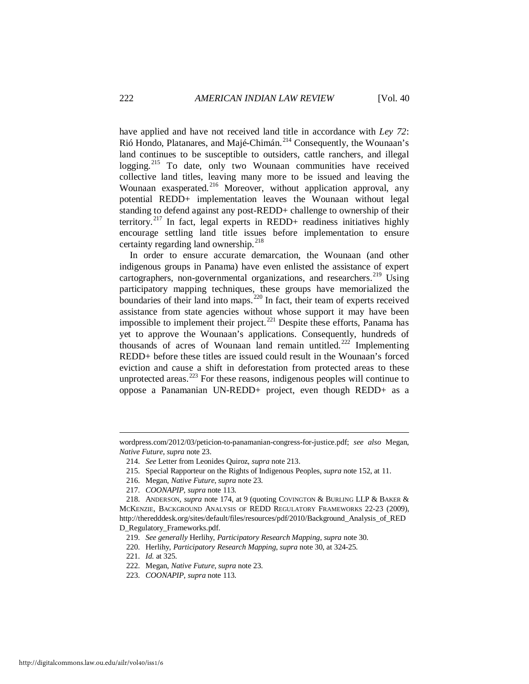have applied and have not received land title in accordance with *Ley 72*: Rió Hondo, Platanares, and Majé-Chimán.<sup>[214](#page-30-0)</sup> Consequently, the Wounaan's land continues to be susceptible to outsiders, cattle ranchers, and illegal logging.<sup>[215](#page-30-1)</sup> To date, only two Wounaan communities have received collective land titles, leaving many more to be issued and leaving the Wounaan exasperated.<sup>[216](#page-30-2)</sup> Moreover, without application approval, any potential REDD+ implementation leaves the Wounaan without legal standing to defend against any post-REDD+ challenge to ownership of their territory.<sup>[217](#page-30-3)</sup> In fact, legal experts in REDD+ readiness initiatives highly encourage settling land title issues before implementation to ensure certainty regarding land ownership. $^{218}$  $^{218}$  $^{218}$ 

In order to ensure accurate demarcation, the Wounaan (and other indigenous groups in Panama) have even enlisted the assistance of expert cartographers, non-governmental organizations, and researchers. <sup>[219](#page-30-5)</sup> Using participatory mapping techniques, these groups have memorialized the boundaries of their land into maps.<sup>[220](#page-30-6)</sup> In fact, their team of experts received assistance from state agencies without whose support it may have been impossible to implement their project.<sup>[221](#page-30-7)</sup> Despite these efforts, Panama has yet to approve the Wounaan's applications. Consequently, hundreds of thousands of acres of Wounaan land remain untitled.<sup>[222](#page-30-8)</sup> Implementing REDD+ before these titles are issued could result in the Wounaan's forced eviction and cause a shift in deforestation from protected areas to these unprotected areas.<sup> $223$ </sup> For these reasons, indigenous peoples will continue to oppose a Panamanian UN-REDD+ project, even though REDD+ as a

<span id="page-30-1"></span><span id="page-30-0"></span>wordpress.com/2012/03/peticion-to-panamanian-congress-for-justice.pdf; *see also* Megan, *Native Future*, *supra* not[e 23.](#page-4-11) 

 <sup>214.</sup> *See* Letter from Leonides Quiroz, *supra* note [213.](#page-29-11) 

 <sup>215.</sup> Special Rapporteur on the Rights of Indigenous Peoples, *supra* not[e 152,](#page-23-8) at 11.

 <sup>216.</sup> Megan, *Native Future*, *supra* not[e 23.](#page-4-11)

 <sup>217.</sup> *COONAPIP*, *supra* note [113.](#page-18-9) 

<span id="page-30-5"></span><span id="page-30-4"></span><span id="page-30-3"></span><span id="page-30-2"></span> <sup>218.</sup> ANDERSON, *supra* note [174,](#page-25-11) at 9 (quoting COVINGTON & BURLING LLP & BAKER & MCKENZIE, BACKGROUND ANALYSIS OF REDD REGULATORY FRAMEWORKS 22-23 (2009), http://theredddesk.org/sites/default/files/resources/pdf/2010/Background\_Analysis\_of\_RED D\_Regulatory\_Frameworks.pdf.

 <sup>219.</sup> *See generally* Herlihy, *Participatory Research Mapping*, *supra* not[e 30.](#page-6-10) 

<span id="page-30-6"></span> <sup>220.</sup> Herlihy, *Participatory Research Mapping*, *supra* not[e 30,](#page-6-10) at 324-25.

<span id="page-30-7"></span> <sup>221.</sup> *Id.* at 325.

 <sup>222.</sup> Megan, *Native Future*, *supra* note 23.

<span id="page-30-9"></span><span id="page-30-8"></span> <sup>223.</sup> *COONAPIP*, *supra* note [113.](#page-18-9)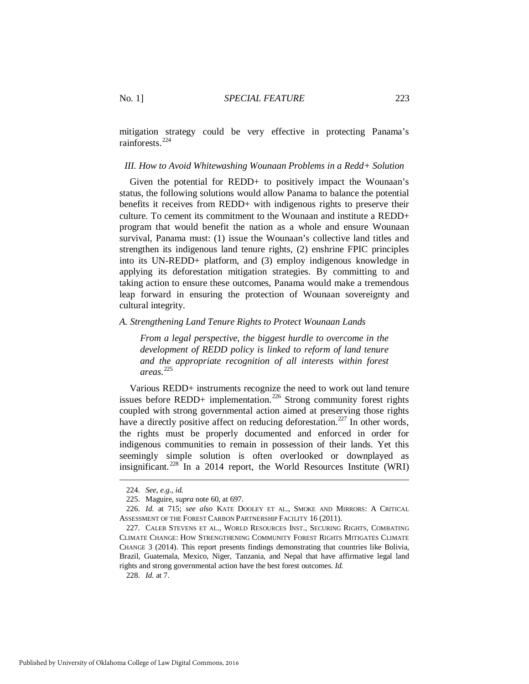mitigation strategy could be very effective in protecting Panama's rainforests.[224](#page-31-2)

#### <span id="page-31-0"></span>*III. How to Avoid Whitewashing Wounaan Problems in a Redd+ Solution*

Given the potential for REDD+ to positively impact the Wounaan's status, the following solutions would allow Panama to balance the potential benefits it receives from REDD+ with indigenous rights to preserve their culture. To cement its commitment to the Wounaan and institute a REDD+ program that would benefit the nation as a whole and ensure Wounaan survival, Panama must: (1) issue the Wounaan's collective land titles and strengthen its indigenous land tenure rights, (2) enshrine FPIC principles into its UN-REDD+ platform, and (3) employ indigenous knowledge in applying its deforestation mitigation strategies. By committing to and taking action to ensure these outcomes, Panama would make a tremendous leap forward in ensuring the protection of Wounaan sovereignty and cultural integrity.

<span id="page-31-1"></span>*A. Strengthening Land Tenure Rights to Protect Wounaan Lands* 

<span id="page-31-7"></span>*From a legal perspective, the biggest hurdle to overcome in the development of REDD policy is linked to reform of land tenure and the appropriate recognition of all interests within forest areas.* [225](#page-31-3) 

Various REDD+ instruments recognize the need to work out land tenure issues before REDD+ implementation.<sup>[226](#page-31-4)</sup> Strong community forest rights coupled with strong governmental action aimed at preserving those rights have a directly positive affect on reducing deforestation.<sup>[227](#page-31-5)</sup> In other words, the rights must be properly documented and enforced in order for indigenous communities to remain in possession of their lands. Yet this seemingly simple solution is often overlooked or downplayed as insignificant.<sup>[228](#page-31-6)</sup> In a 2014 report, the World Resources Institute (WRI)

<span id="page-31-2"></span>-

<span id="page-31-6"></span>228. *Id.* at 7.

 <sup>224.</sup> *See*, *e.g.*, *id.*

 <sup>225.</sup> Maguire, *supra* note [60,](#page-10-7) at 697.

<span id="page-31-4"></span><span id="page-31-3"></span> <sup>226.</sup> *Id.* at 715; *see also* KATE DOOLEY ET AL., SMOKE AND MIRRORS: A CRITICAL ASSESSMENT OF THE FOREST CARBON PARTNERSHIP FACILITY 16 (2011).

<span id="page-31-5"></span> <sup>227.</sup> CALEB STEVENS ET AL., WORLD RESOURCES INST., SECURING RIGHTS, COMBATING CLIMATE CHANGE: HOW STRENGTHENING COMMUNITY FOREST RIGHTS MITIGATES CLIMATE CHANGE 3 (2014). This report presents findings demonstrating that countries like Bolivia, Brazil, Guatemala, Mexico, Niger, Tanzania, and Nepal that have affirmative legal land rights and strong governmental action have the best forest outcomes. *Id.*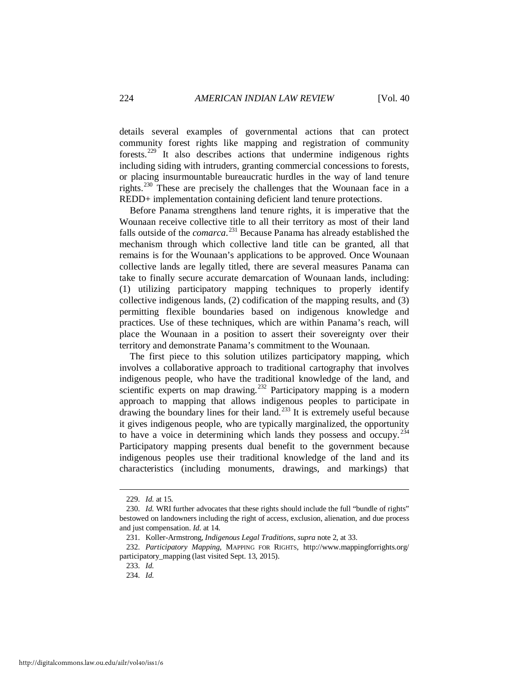details several examples of governmental actions that can protect community forest rights like mapping and registration of community forests.[229](#page-32-0) It also describes actions that undermine indigenous rights including siding with intruders, granting commercial concessions to forests, or placing insurmountable bureaucratic hurdles in the way of land tenure rights.[230](#page-32-1) These are precisely the challenges that the Wounaan face in a REDD+ implementation containing deficient land tenure protections.

Before Panama strengthens land tenure rights, it is imperative that the Wounaan receive collective title to all their territory as most of their land falls outside of the *comarca*. [231](#page-32-2) Because Panama has already established the mechanism through which collective land title can be granted, all that remains is for the Wounaan's applications to be approved. Once Wounaan collective lands are legally titled, there are several measures Panama can take to finally secure accurate demarcation of Wounaan lands, including: (1) utilizing participatory mapping techniques to properly identify collective indigenous lands, (2) codification of the mapping results, and (3) permitting flexible boundaries based on indigenous knowledge and practices. Use of these techniques, which are within Panama's reach, will place the Wounaan in a position to assert their sovereignty over their territory and demonstrate Panama's commitment to the Wounaan.

<span id="page-32-6"></span>The first piece to this solution utilizes participatory mapping, which involves a collaborative approach to traditional cartography that involves indigenous people, who have the traditional knowledge of the land, and scientific experts on map drawing.<sup>[232](#page-32-3)</sup> Participatory mapping is a modern approach to mapping that allows indigenous peoples to participate in drawing the boundary lines for their land.[233](#page-32-4) It is extremely useful because it gives indigenous people, who are typically marginalized, the opportunity to have a voice in determining which lands they possess and occupy.  $234$ Participatory mapping presents dual benefit to the government because indigenous peoples use their traditional knowledge of the land and its characteristics (including monuments, drawings, and markings) that

 <sup>229.</sup> *Id.* at 15.

<span id="page-32-1"></span><span id="page-32-0"></span><sup>230.</sup> *Id.* WRI further advocates that these rights should include the full "bundle of rights" bestowed on landowners including the right of access, exclusion, alienation, and due process and just compensation. *Id.* at 14.

 <sup>231.</sup> Koller-Armstrong, *Indigenous Legal Traditions*, *supra* not[e 2,](#page-2-7) at 33.

<span id="page-32-5"></span><span id="page-32-4"></span><span id="page-32-3"></span><span id="page-32-2"></span> <sup>232.</sup> *Participatory Mapping*, MAPPING FOR RIGHTS, http://www.mappingforrights.org/ participatory\_mapping (last visited Sept. 13, 2015).

 <sup>233.</sup> *Id.*

 <sup>234.</sup> *Id.*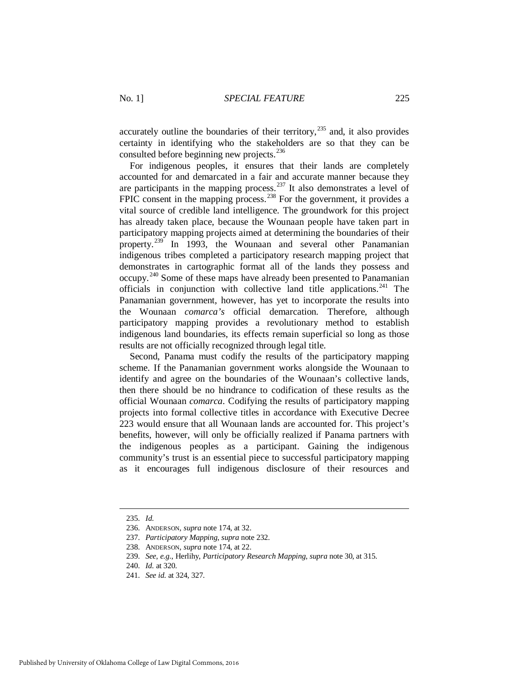accurately outline the boundaries of their territory,  $^{235}$  $^{235}$  $^{235}$  and, it also provides certainty in identifying who the stakeholders are so that they can be consulted before beginning new projects.<sup>[236](#page-33-1)</sup>

For indigenous peoples, it ensures that their lands are completely accounted for and demarcated in a fair and accurate manner because they are participants in the mapping process.<sup>[237](#page-33-2)</sup> It also demonstrates a level of FPIC consent in the mapping process.<sup>[238](#page-33-3)</sup> For the government, it provides a vital source of credible land intelligence. The groundwork for this project has already taken place, because the Wounaan people have taken part in participatory mapping projects aimed at determining the boundaries of their property.<sup>[239](#page-33-4)</sup> In 1993, the Wounaan and several other Panamanian indigenous tribes completed a participatory research mapping project that demonstrates in cartographic format all of the lands they possess and occupy.[240](#page-33-5) Some of these maps have already been presented to Panamanian officials in conjunction with collective land title applications. $241$  The Panamanian government, however, has yet to incorporate the results into the Wounaan *comarca's* official demarcation. Therefore, although participatory mapping provides a revolutionary method to establish indigenous land boundaries, its effects remain superficial so long as those results are not officially recognized through legal title.

Second, Panama must codify the results of the participatory mapping scheme. If the Panamanian government works alongside the Wounaan to identify and agree on the boundaries of the Wounaan's collective lands, then there should be no hindrance to codification of these results as the official Wounaan *comarca*. Codifying the results of participatory mapping projects into formal collective titles in accordance with Executive Decree 223 would ensure that all Wounaan lands are accounted for. This project's benefits, however, will only be officially realized if Panama partners with the indigenous peoples as a participant. Gaining the indigenous community's trust is an essential piece to successful participatory mapping as it encourages full indigenous disclosure of their resources and

<span id="page-33-0"></span> <sup>235.</sup> *Id.*

<span id="page-33-1"></span> <sup>236.</sup> ANDERSON, *supra* not[e 174,](#page-25-11) at 32.

<span id="page-33-2"></span> <sup>237.</sup> *Participatory Mapping*, *supra* not[e 232.](#page-32-6)

<span id="page-33-3"></span> <sup>238.</sup> ANDERSON, *supra* not[e 174,](#page-25-11) at 22.

<span id="page-33-4"></span> <sup>239.</sup> *See*, *e.g.*, Herlihy, *Participatory Research Mapping*, *supra* note [30,](#page-6-10) at 315.

 <sup>240.</sup> *Id.* at 320.

<span id="page-33-6"></span><span id="page-33-5"></span> <sup>241.</sup> *See id.* at 324, 327.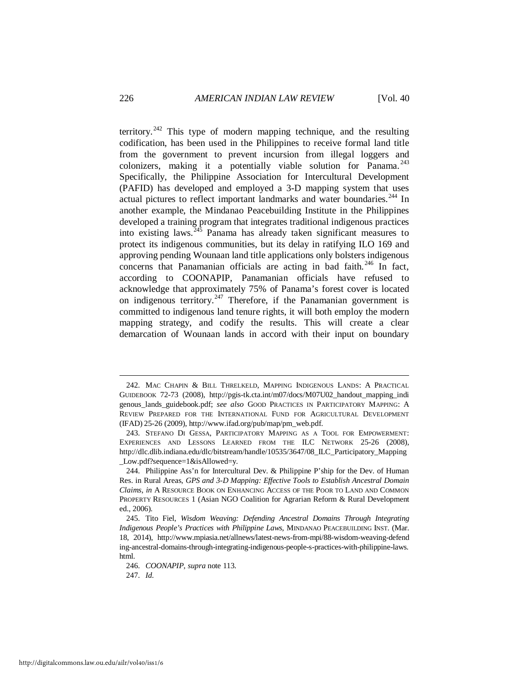territory.<sup>[242](#page-34-0)</sup> This type of modern mapping technique, and the resulting codification, has been used in the Philippines to receive formal land title from the government to prevent incursion from illegal loggers and colonizers, making it a potentially viable solution for Panama. $^{243}$  $^{243}$  $^{243}$ Specifically, the Philippine Association for Intercultural Development (PAFID) has developed and employed a 3-D mapping system that uses actual pictures to reflect important landmarks and water boundaries.<sup>244</sup> In another example, the Mindanao Peacebuilding Institute in the Philippines developed a training program that integrates traditional indigenous practices into existing laws.[245](#page-34-3) Panama has already taken significant measures to protect its indigenous communities, but its delay in ratifying ILO 169 and approving pending Wounaan land title applications only bolsters indigenous concerns that Panamanian officials are acting in bad faith.<sup>[246](#page-34-4)</sup> In fact, according to COONAPIP, Panamanian officials have refused to acknowledge that approximately 75% of Panama's forest cover is located on indigenous territory.<sup>[247](#page-34-5)</sup> Therefore, if the Panamanian government is committed to indigenous land tenure rights, it will both employ the modern mapping strategy, and codify the results. This will create a clear demarcation of Wounaan lands in accord with their input on boundary

<span id="page-34-5"></span><span id="page-34-4"></span>247. *Id.*

<span id="page-34-0"></span> <sup>242.</sup> MAC CHAPIN & BILL THRELKELD, MAPPING INDIGENOUS LANDS: A PRACTICAL GUIDEBOOK 72-73 (2008), http://pgis-tk.cta.int/m07/docs/M07U02\_handout\_mapping\_indi genous\_lands\_guidebook.pdf; *see also* GOOD PRACTICES IN PARTICIPATORY MAPPING: A REVIEW PREPARED FOR THE INTERNATIONAL FUND FOR AGRICULTURAL DEVELOPMENT (IFAD) 25-26 (2009), http://www.ifad.org/pub/map/pm\_web.pdf.

<span id="page-34-1"></span> <sup>243.</sup> STEFANO DI GESSA, PARTICIPATORY MAPPING AS A TOOL FOR EMPOWERMENT: EXPERIENCES AND LESSONS LEARNED FROM THE ILC NETWORK 25-26 (2008), http://dlc.dlib.indiana.edu/dlc/bitstream/handle/10535/3647/08\_ILC\_Participatory\_Mapping \_Low.pdf?sequence=1&isAllowed=y.

<span id="page-34-2"></span> <sup>244.</sup> Philippine Ass'n for Intercultural Dev. & Philippine P'ship for the Dev. of Human Res. in Rural Areas, *GPS and 3-D Mapping: Effective Tools to Establish Ancestral Domain Claims*, *in* A RESOURCE BOOK ON ENHANCING ACCESS OF THE POOR TO LAND AND COMMON PROPERTY RESOURCES 1 (Asian NGO Coalition for Agrarian Reform & Rural Development ed., 2006).

<span id="page-34-3"></span> <sup>245.</sup> Tito Fiel, *Wisdom Weaving: Defending Ancestral Domains Through Integrating Indigenous People's Practices with Philippine Laws*, MINDANAO PEACEBUILDING INST. (Mar. 18, 2014), http://www.mpiasia.net/allnews/latest-news-from-mpi/88-wisdom-weaving-defend ing-ancestral-domains-through-integrating-indigenous-people-s-practices-with-philippine-laws. html.

 <sup>246.</sup> *COONAPIP*, *supra* note [113.](#page-18-9)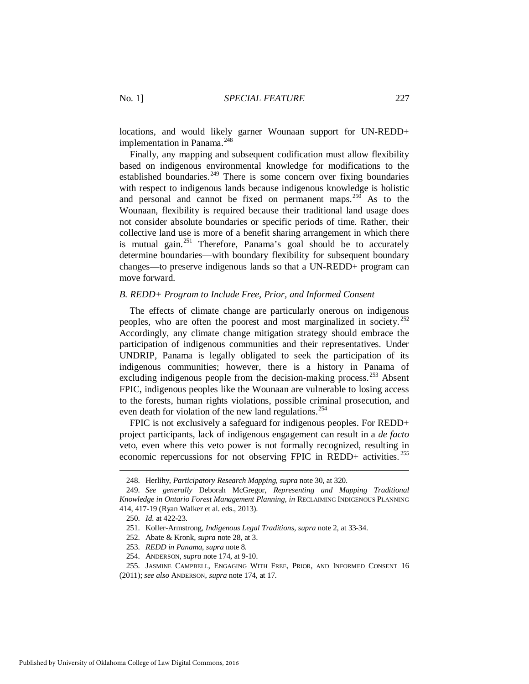locations, and would likely garner Wounaan support for UN-REDD+ implementation in Panama.<sup>[248](#page-35-1)</sup>

Finally, any mapping and subsequent codification must allow flexibility based on indigenous environmental knowledge for modifications to the established boundaries.<sup>[249](#page-35-2)</sup> There is some concern over fixing boundaries with respect to indigenous lands because indigenous knowledge is holistic and personal and cannot be fixed on permanent maps.<sup>[250](#page-35-3)</sup> As to the Wounaan, flexibility is required because their traditional land usage does not consider absolute boundaries or specific periods of time. Rather, their collective land use is more of a benefit sharing arrangement in which there is mutual gain.<sup>[251](#page-35-4)</sup> Therefore, Panama's goal should be to accurately determine boundaries—with boundary flexibility for subsequent boundary changes—to preserve indigenous lands so that a UN-REDD+ program can move forward.

#### <span id="page-35-0"></span>*B. REDD+ Program to Include Free, Prior, and Informed Consent*

The effects of climate change are particularly onerous on indigenous peoples, who are often the poorest and most marginalized in society.  $252$ Accordingly, any climate change mitigation strategy should embrace the participation of indigenous communities and their representatives. Under UNDRIP, Panama is legally obligated to seek the participation of its indigenous communities; however, there is a history in Panama of excluding indigenous people from the decision-making process.<sup>[253](#page-35-6)</sup> Absent FPIC, indigenous peoples like the Wounaan are vulnerable to losing access to the forests, human rights violations, possible criminal prosecution, and even death for violation of the new land regulations.<sup>254</sup>

FPIC is not exclusively a safeguard for indigenous peoples. For REDD+ project participants, lack of indigenous engagement can result in a *de facto* veto, even where this veto power is not formally recognized, resulting in economic repercussions for not observing FPIC in REDD+ activities. [255](#page-35-8)

<span id="page-35-9"></span> <sup>248.</sup> Herlihy, *Participatory Research Mapping*, *supra* not[e 30,](#page-6-10) at 320.

<span id="page-35-4"></span><span id="page-35-3"></span><span id="page-35-2"></span><span id="page-35-1"></span> <sup>249.</sup> *See generally* Deborah McGregor, *Representing and Mapping Traditional Knowledge in Ontario Forest Management Planning*, *in* RECLAIMING INDIGENOUS PLANNING 414, 417-19 (Ryan Walker et al. eds., 2013).

 <sup>250.</sup> *Id.* at 422-23.

 <sup>251.</sup> Koller-Armstrong, *Indigenous Legal Traditions*, *supra* not[e 2,](#page-2-7) at 33-34.

 <sup>252.</sup> Abate & Kronk, *supra* not[e 28,](#page-6-7) at 3.

 <sup>253.</sup> *REDD in Panama*, *supra* note [8.](#page-3-8) 

 <sup>254.</sup> ANDERSON, *supra* not[e 174,](#page-25-11) at 9-10.

 <sup>255.</sup> JASMINE CAMPBELL, ENGAGING WITH FREE, PRIOR, AND INFORMED CONSENT 16

<span id="page-35-8"></span><span id="page-35-7"></span><span id="page-35-6"></span><span id="page-35-5"></span><sup>(2011);</sup> *see also* ANDERSON, *supra* not[e 174,](#page-25-11) at 17.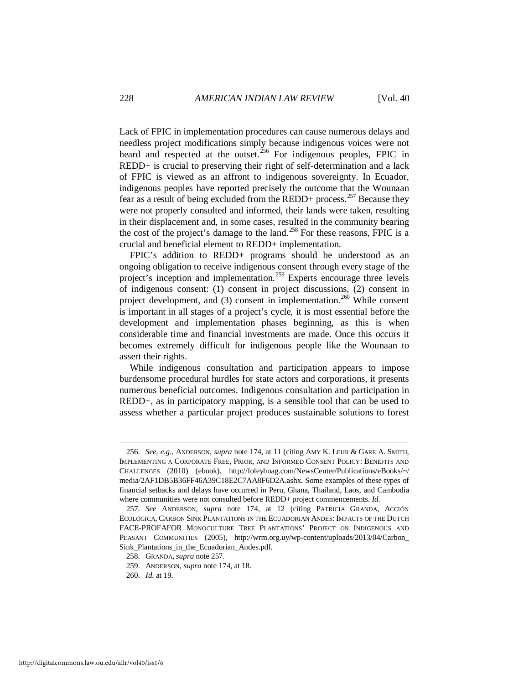Lack of FPIC in implementation procedures can cause numerous delays and needless project modifications simply because indigenous voices were not heard and respected at the outset.<sup>[256](#page-36-1)</sup> For indigenous peoples, FPIC in REDD+ is crucial to preserving their right of self-determination and a lack of FPIC is viewed as an affront to indigenous sovereignty. In Ecuador, indigenous peoples have reported precisely the outcome that the Wounaan fear as a result of being excluded from the REDD+ process.<sup>[257](#page-36-2)</sup> Because they were not properly consulted and informed, their lands were taken, resulting in their displacement and, in some cases, resulted in the community bearing the cost of the project's damage to the land.<sup>[258](#page-36-3)</sup> For these reasons, FPIC is a crucial and beneficial element to REDD+ implementation.

<span id="page-36-0"></span>FPIC's addition to REDD+ programs should be understood as an ongoing obligation to receive indigenous consent through every stage of the project's inception and implementation.<sup>[259](#page-36-4)</sup> Experts encourage three levels of indigenous consent: (1) consent in project discussions, (2) consent in project development, and  $(3)$  consent in implementation.<sup>[260](#page-36-5)</sup> While consent is important in all stages of a project's cycle, it is most essential before the development and implementation phases beginning, as this is when considerable time and financial investments are made. Once this occurs it becomes extremely difficult for indigenous people like the Wounaan to assert their rights.

While indigenous consultation and participation appears to impose burdensome procedural hurdles for state actors and corporations, it presents numerous beneficial outcomes. Indigenous consultation and participation in REDD+, as in participatory mapping, is a sensible tool that can be used to assess whether a particular project produces sustainable solutions to forest

<span id="page-36-1"></span> <sup>256.</sup> *See*, *e.g.*, ANDERSON, *supra* note [174,](#page-25-11) at 11 (citing AMY K. LEHR & GARE A. SMITH, IMPLEMENTING A CORPORATE FREE, PRIOR, AND INFORMED CONSENT POLICY: BENEFITS AND CHALLENGES (2010) (ebook), http://foleyhoag.com/NewsCenter/Publications/eBooks/~/ media/2AF1DB5B36FF46A39C18E2C7AA8F6D2A.ashx. Some examples of these types of financial setbacks and delays have occurred in Peru, Ghana, Thailand, Laos, and Cambodia where communities were not consulted before REDD+ project commencements. *Id.*

<span id="page-36-2"></span> <sup>257.</sup> *See* ANDERSON, *supra* note [174,](#page-25-11) at 12 (citing PATRICIA GRANDA, ACCIÓN ECOLÓGICA, CARBON SINK PLANTATIONS IN THE ECUADORIAN ANDES: IMPACTS OF THE DUTCH FACE-PROFAFOR MONOCULTURE TREE PLANTATIONS' PROJECT ON INDIGENOUS AND PEASANT COMMUNITIES (2005), http://wrm.org.uy/wp-content/uploads/2013/04/Carbon\_ Sink\_Plantations\_in\_the\_Ecuadorian\_Andes.pdf.

<span id="page-36-3"></span> <sup>258.</sup> GRANDA, *supra* not[e 257.](#page-36-0)

<span id="page-36-4"></span> <sup>259.</sup> ANDERSON, *supra* not[e 174,](#page-25-11) at 18.

<span id="page-36-5"></span> <sup>260.</sup> *Id.* at 19.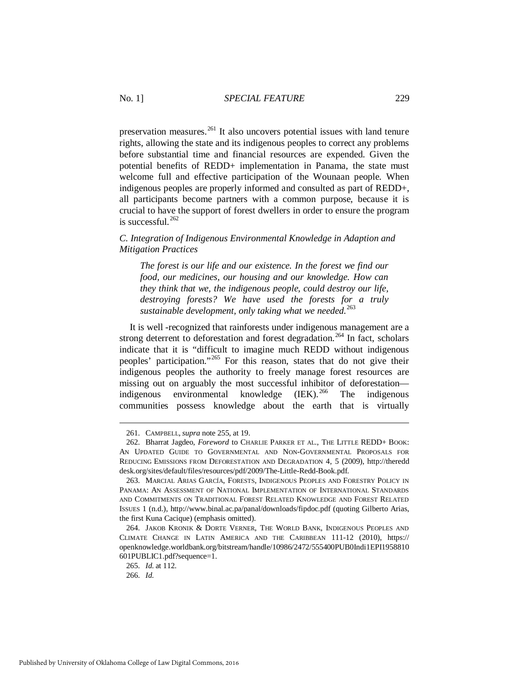preservation measures.<sup>[261](#page-37-1)</sup> It also uncovers potential issues with land tenure rights, allowing the state and its indigenous peoples to correct any problems before substantial time and financial resources are expended. Given the potential benefits of REDD+ implementation in Panama, the state must welcome full and effective participation of the Wounaan people. When indigenous peoples are properly informed and consulted as part of REDD+, all participants become partners with a common purpose, because it is crucial to have the support of forest dwellers in order to ensure the program is successful.<sup>262</sup>

## <span id="page-37-0"></span>*C. Integration of Indigenous Environmental Knowledge in Adaption and Mitigation Practices*

*The forest is our life and our existence. In the forest we find our food, our medicines, our housing and our knowledge. How can they think that we, the indigenous people, could destroy our life, destroying forests? We have used the forests for a truly sustainable development, only taking what we needed.*[263](#page-37-3)

It is well -recognized that rainforests under indigenous management are a strong deterrent to deforestation and forest degradation.<sup>[264](#page-37-4)</sup> In fact, scholars indicate that it is "difficult to imagine much REDD without indigenous peoples' participation."[265](#page-37-5) For this reason, states that do not give their indigenous peoples the authority to freely manage forest resources are missing out on arguably the most successful inhibitor of deforestation indigenous environmental knowledge  $(IEK).^{266}$  $(IEK).^{266}$  $(IEK).^{266}$  The indigenous communities possess knowledge about the earth that is virtually

 <sup>261.</sup> CAMPBELL, *supra* not[e 255,](#page-35-9) at 19.

<span id="page-37-2"></span><span id="page-37-1"></span> <sup>262.</sup> Bharrat Jagdeo, *Foreword* to CHARLIE PARKER ET AL., THE LITTLE REDD+ BOOK: AN UPDATED GUIDE TO GOVERNMENTAL AND NON-GOVERNMENTAL PROPOSALS FOR REDUCING EMISSIONS FROM DEFORESTATION AND DEGRADATION 4, 5 (2009), http://theredd desk.org/sites/default/files/resources/pdf/2009/The-Little-Redd-Book.pdf.

<span id="page-37-3"></span> <sup>263.</sup> MARCIAL ARIAS GARCÍA, FORESTS, INDIGENOUS PEOPLES AND FORESTRY POLICY IN PANAMA: AN ASSESSMENT OF NATIONAL IMPLEMENTATION OF INTERNATIONAL STANDARDS AND COMMITMENTS ON TRADITIONAL FOREST RELATED KNOWLEDGE AND FOREST RELATED ISSUES 1 (n.d.), http://www.binal.ac.pa/panal/downloads/fipdoc.pdf (quoting Gilberto Arias, the first Kuna Cacique) (emphasis omitted).

<span id="page-37-5"></span><span id="page-37-4"></span> <sup>264.</sup> JAKOB KRONIK & DORTE VERNER, THE WORLD BANK, INDIGENOUS PEOPLES AND CLIMATE CHANGE IN LATIN AMERICA AND THE CARIBBEAN 111-12 (2010), https:// openknowledge.worldbank.org/bitstream/handle/10986/2472/555400PUB0Indi1EPI1958810 601PUBLIC1.pdf?sequence=1.

 <sup>265.</sup> *Id.* at 112.

<span id="page-37-6"></span> <sup>266.</sup> *Id.*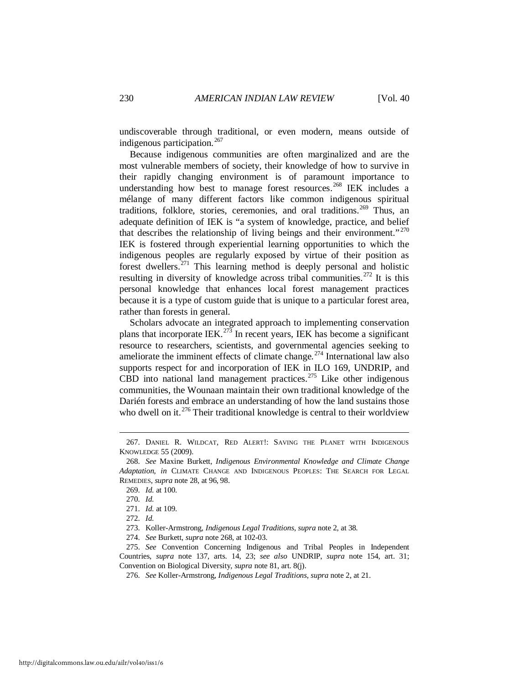undiscoverable through traditional, or even modern, means outside of indigenous participation.<sup>[267](#page-38-1)</sup>

<span id="page-38-0"></span>Because indigenous communities are often marginalized and are the most vulnerable members of society, their knowledge of how to survive in their rapidly changing environment is of paramount importance to understanding how best to manage forest resources.<sup>[268](#page-38-2)</sup> IEK includes a mélange of many different factors like common indigenous spiritual traditions, folklore, stories, ceremonies, and oral traditions.<sup>[269](#page-38-3)</sup> Thus, an adequate definition of IEK is "a system of knowledge, practice, and belief that describes the relationship of living beings and their environment."<sup>[270](#page-38-4)</sup> IEK is fostered through experiential learning opportunities to which the indigenous peoples are regularly exposed by virtue of their position as forest dwellers.[271](#page-38-5) This learning method is deeply personal and holistic resulting in diversity of knowledge across tribal communities.<sup>[272](#page-38-6)</sup> It is this personal knowledge that enhances local forest management practices because it is a type of custom guide that is unique to a particular forest area, rather than forests in general.

Scholars advocate an integrated approach to implementing conservation plans that incorporate IEK.<sup>[273](#page-38-7)</sup> In recent years, IEK has become a significant resource to researchers, scientists, and governmental agencies seeking to ameliorate the imminent effects of climate change.<sup>[274](#page-38-8)</sup> International law also supports respect for and incorporation of IEK in ILO 169, UNDRIP, and CBD into national land management practices.<sup>[275](#page-38-9)</sup> Like other indigenous communities, the Wounaan maintain their own traditional knowledge of the Darién forests and embrace an understanding of how the land sustains those who dwell on it.<sup>[276](#page-38-10)</sup> Their traditional knowledge is central to their worldview

<span id="page-38-1"></span> <sup>267.</sup> DANIEL R. WILDCAT, RED ALERT!: SAVING THE PLANET WITH INDIGENOUS KNOWLEDGE 55 (2009).

<span id="page-38-4"></span><span id="page-38-3"></span><span id="page-38-2"></span> <sup>268.</sup> *See* Maxine Burkett, *Indigenous Environmental Knowledge and Climate Change Adaptation*, *in* CLIMATE CHANGE AND INDIGENOUS PEOPLES: THE SEARCH FOR LEGAL REMEDIES, *supra* not[e 28,](#page-6-7) at 96, 98.

 <sup>269.</sup> *Id.* at 100.

 <sup>270.</sup> *Id.*

 <sup>271.</sup> *Id.* at 109.

 <sup>272.</sup> *Id.*

 <sup>273.</sup> Koller-Armstrong, *Indigenous Legal Traditions*, *supra* not[e 2,](#page-2-7) at 38.

 <sup>274.</sup> *See* Burkett, *supra* not[e 268,](#page-38-0) at 102-03.

<span id="page-38-10"></span><span id="page-38-9"></span><span id="page-38-8"></span><span id="page-38-7"></span><span id="page-38-6"></span><span id="page-38-5"></span> <sup>275.</sup> *See* Convention Concerning Indigenous and Tribal Peoples in Independent Countries, *supra* note [137,](#page-21-8) arts. 14, 23; *see also* UNDRIP, *supra* note [154,](#page-23-1) art. 31; Convention on Biological Diversity, *supra* note [81,](#page-13-9) art. 8(j).

 <sup>276.</sup> *See* Koller-Armstrong, *Indigenous Legal Traditions*, *supra* not[e 2,](#page-2-7) at 21.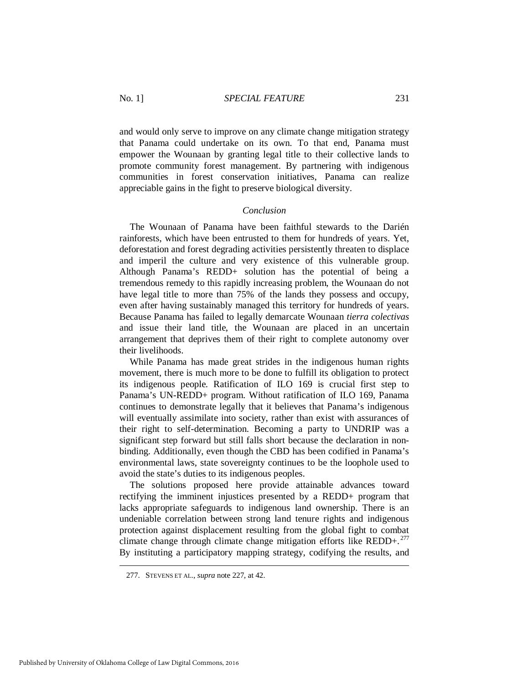and would only serve to improve on any climate change mitigation strategy that Panama could undertake on its own. To that end, Panama must empower the Wounaan by granting legal title to their collective lands to promote community forest management. By partnering with indigenous communities in forest conservation initiatives, Panama can realize appreciable gains in the fight to preserve biological diversity.

#### *Conclusion*

<span id="page-39-0"></span>The Wounaan of Panama have been faithful stewards to the Darién rainforests, which have been entrusted to them for hundreds of years. Yet, deforestation and forest degrading activities persistently threaten to displace and imperil the culture and very existence of this vulnerable group. Although Panama's REDD+ solution has the potential of being a tremendous remedy to this rapidly increasing problem, the Wounaan do not have legal title to more than 75% of the lands they possess and occupy, even after having sustainably managed this territory for hundreds of years. Because Panama has failed to legally demarcate Wounaan *tierra colectivas*  and issue their land title, the Wounaan are placed in an uncertain arrangement that deprives them of their right to complete autonomy over their livelihoods.

While Panama has made great strides in the indigenous human rights movement, there is much more to be done to fulfill its obligation to protect its indigenous people. Ratification of ILO 169 is crucial first step to Panama's UN-REDD+ program. Without ratification of ILO 169, Panama continues to demonstrate legally that it believes that Panama's indigenous will eventually assimilate into society, rather than exist with assurances of their right to self-determination. Becoming a party to UNDRIP was a significant step forward but still falls short because the declaration in nonbinding. Additionally, even though the CBD has been codified in Panama's environmental laws, state sovereignty continues to be the loophole used to avoid the state's duties to its indigenous peoples.

The solutions proposed here provide attainable advances toward rectifying the imminent injustices presented by a REDD+ program that lacks appropriate safeguards to indigenous land ownership. There is an undeniable correlation between strong land tenure rights and indigenous protection against displacement resulting from the global fight to combat climate change through climate change mitigation efforts like  $REDD+$ .<sup>[277](#page-39-1)</sup> By instituting a participatory mapping strategy, codifying the results, and

<span id="page-39-1"></span> <sup>277.</sup> STEVENS ET AL., *supra* note [227,](#page-31-7) at 42.